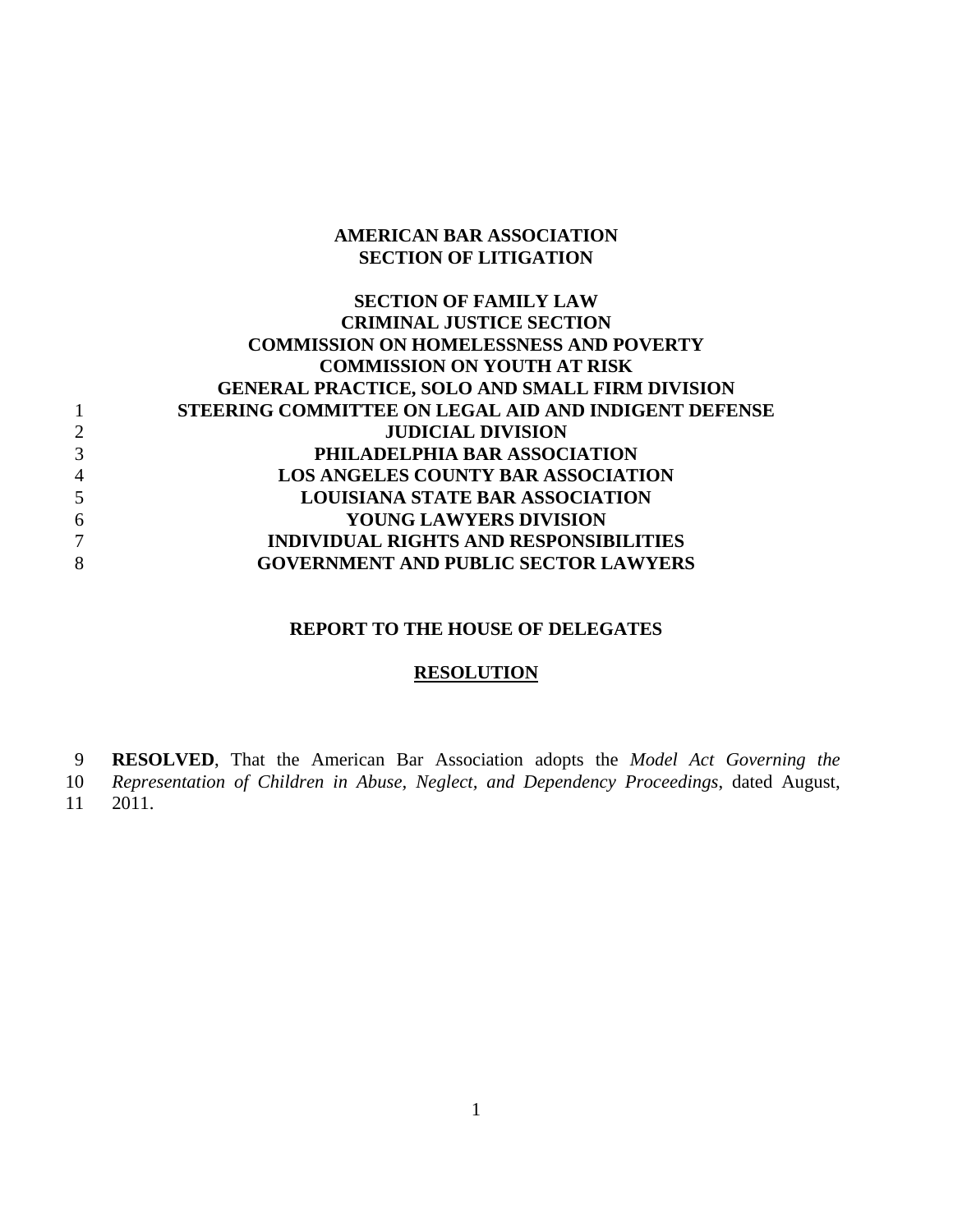#### **AMERICAN BAR ASSOCIATION SECTION OF LITIGATION**

### **SECTION OF FAMILY LAW CRIMINAL JUSTICE SECTION COMMISSION ON HOMELESSNESS AND POVERTY COMMISSION ON YOUTH AT RISK GENERAL PRACTICE, SOLO AND SMALL FIRM DIVISION**  1 **STEERING COMMITTEE ON LEGAL AID AND INDIGENT DEFENSE**  2 **JUDICIAL DIVISION**  3 **PHILADELPHIA BAR ASSOCIATION**  4 **LOS ANGELES COUNTY BAR ASSOCIATION**  5 **LOUISIANA STATE BAR ASSOCIATION**  6 **YOUNG LAWYERS DIVISION**  7 **INDIVIDUAL RIGHTS AND RESPONSIBILITIES**  8 **GOVERNMENT AND PUBLIC SECTOR LAWYERS**

### **REPORT TO THE HOUSE OF DELEGATES**

#### **RESOLUTION**

**RESOLVED**, That the American Bar Association adopts the *Model Act Governing the*  9

*Representation of Children in Abuse, Neglect, and Dependency Proceedings*, dated August, 10

2011. 11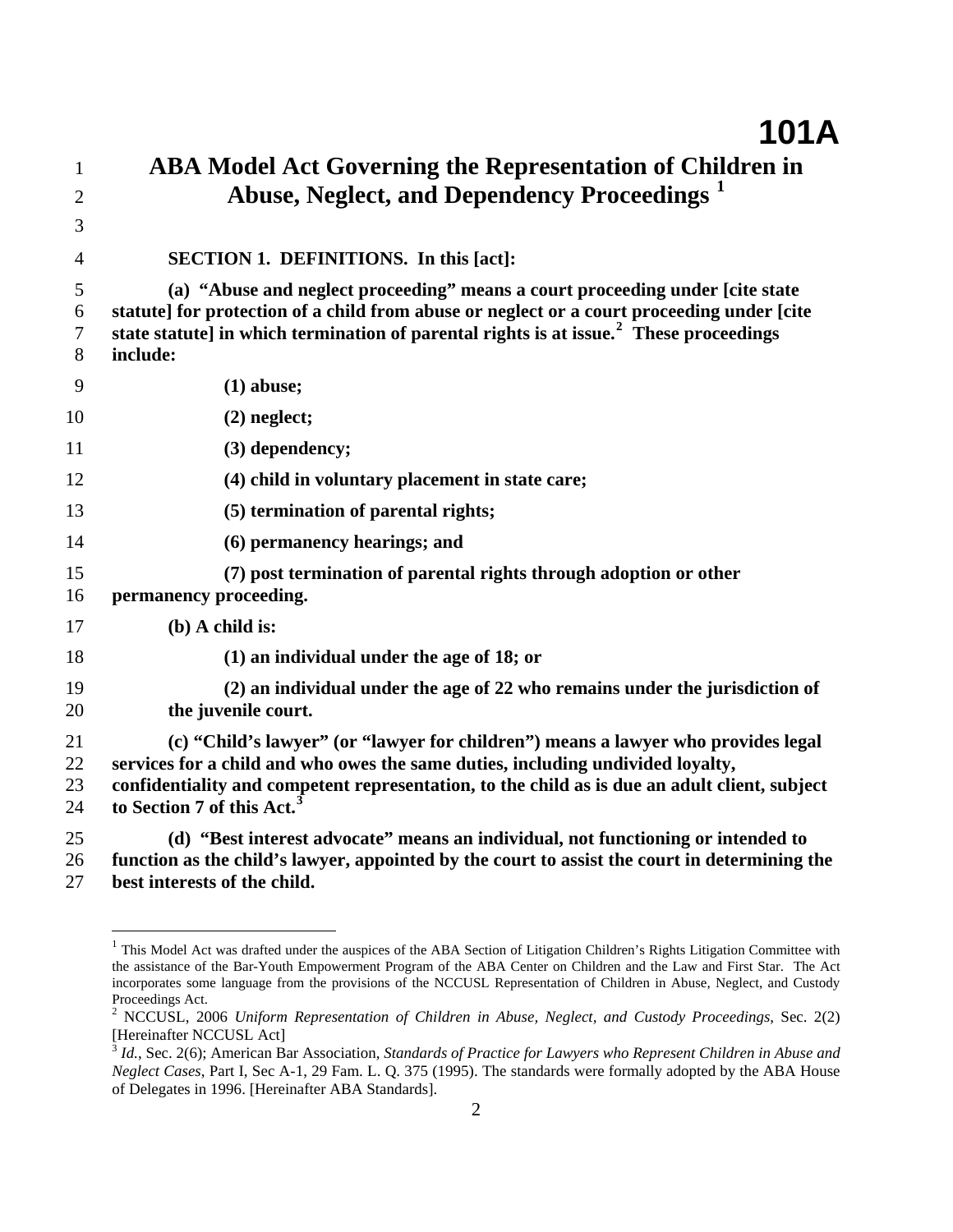| 1                    | <b>ABA Model Act Governing the Representation of Children in</b>                                                                                                                                                                                                                                                |
|----------------------|-----------------------------------------------------------------------------------------------------------------------------------------------------------------------------------------------------------------------------------------------------------------------------------------------------------------|
| $\overline{2}$       | Abuse, Neglect, and Dependency Proceedings <sup>1</sup>                                                                                                                                                                                                                                                         |
| 3                    |                                                                                                                                                                                                                                                                                                                 |
| 4                    | SECTION 1. DEFINITIONS. In this [act]:                                                                                                                                                                                                                                                                          |
| 5<br>6<br>7<br>8     | (a) "Abuse and neglect proceeding" means a court proceeding under [cite state<br>statute] for protection of a child from abuse or neglect or a court proceeding under [cite<br>state statute] in which termination of parental rights is at issue. <sup>2</sup> These proceedings<br>include:                   |
| 9                    | $(1)$ abuse;                                                                                                                                                                                                                                                                                                    |
| 10                   | $(2)$ neglect;                                                                                                                                                                                                                                                                                                  |
| 11                   | (3) dependency;                                                                                                                                                                                                                                                                                                 |
| 12                   | (4) child in voluntary placement in state care;                                                                                                                                                                                                                                                                 |
| 13                   | (5) termination of parental rights;                                                                                                                                                                                                                                                                             |
| 14                   | (6) permanency hearings; and                                                                                                                                                                                                                                                                                    |
| 15<br>16             | (7) post termination of parental rights through adoption or other<br>permanency proceeding.                                                                                                                                                                                                                     |
| 17                   | $(b)$ A child is:                                                                                                                                                                                                                                                                                               |
| 18                   | $(1)$ an individual under the age of 18; or                                                                                                                                                                                                                                                                     |
| 19<br>20             | (2) an individual under the age of 22 who remains under the jurisdiction of<br>the juvenile court.                                                                                                                                                                                                              |
| 21<br>22<br>23<br>24 | (c) "Child's lawyer" (or "lawyer for children") means a lawyer who provides legal<br>services for a child and who owes the same duties, including undivided loyalty,<br>confidentiality and competent representation, to the child as is due an adult client, subject<br>to Section 7 of this Act. <sup>3</sup> |
| 25<br>26<br>27       | (d) "Best interest advocate" means an individual, not functioning or intended to<br>function as the child's lawyer, appointed by the court to assist the court in determining the<br>best interests of the child.                                                                                               |

<span id="page-1-0"></span><sup>&</sup>lt;sup>1</sup> This Model Act was drafted under the auspices of the ABA Section of Litigation Children's Rights Litigation Committee with the assistance of the Bar-Youth Empowerment Program of the ABA Center on Children and the Law and First Star. The Act incorporates some language from the provisions of the NCCUSL Representation of Children in Abuse, Neglect, and Custody Proceedings Act.

<u>.</u>

<span id="page-1-1"></span>NCCUSL, 2006 *Uniform Representation of Children in Abuse, Neglect, and Custody Proceedings*, Sec. 2(2) [Hereinafter NCCUSL Act]

<span id="page-1-2"></span><sup>3</sup> *Id.*, Sec. 2(6); American Bar Association, *Standards of Practice for Lawyers who Represent Children in Abuse and Neglect Cases*, Part I, Sec A-1, 29 Fam. L. Q. 375 (1995). The standards were formally adopted by the ABA House of Delegates in 1996. [Hereinafter ABA Standards].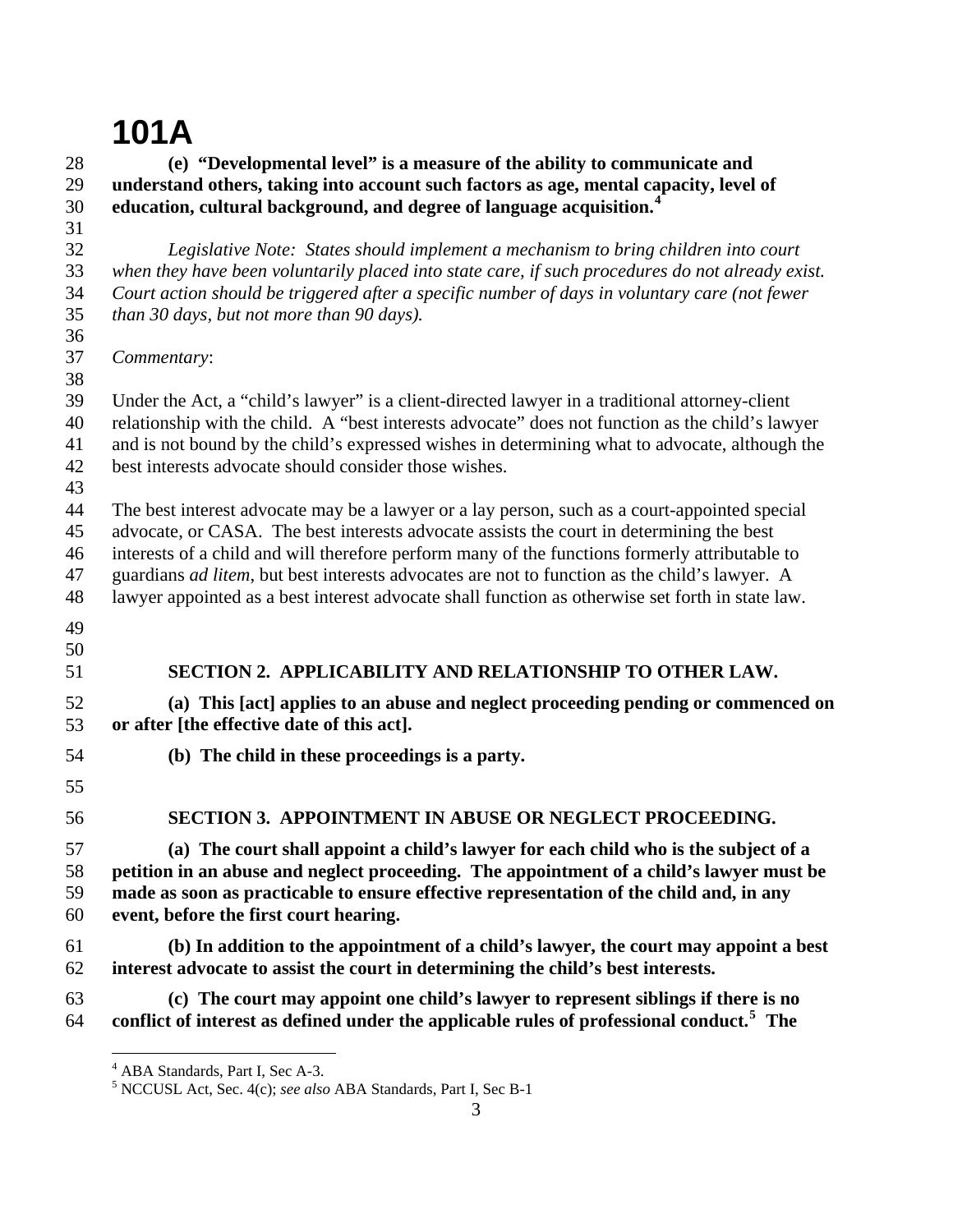#### 28 29 30 31 32 33 34 35 36 37 38 39 40 41 42 43 44 45 46 47 48 49 50 51 52 53 54 55 56 57 58 59 60 61 62 63 64  **(e) "Developmental level" is a measure of the ability to communicate and understand others, taking into account such factors as age, mental capacity, level of education, cultural background, and degree of language acquisition.[4](#page-2-0)** *Legislative Note: States should implement a mechanism to bring children into court when they have been voluntarily placed into state care, if such procedures do not already exist. Court action should be triggered after a specific number of days in voluntary care (not fewer than 30 days, but not more than 90 days). Commentary*: Under the Act, a "child's lawyer" is a client-directed lawyer in a traditional attorney-client relationship with the child. A "best interests advocate" does not function as the child's lawyer and is not bound by the child's expressed wishes in determining what to advocate, although the best interests advocate should consider those wishes. The best interest advocate may be a lawyer or a lay person, such as a court-appointed special advocate, or CASA. The best interests advocate assists the court in determining the best interests of a child and will therefore perform many of the functions formerly attributable to guardians *ad litem*, but best interests advocates are not to function as the child's lawyer. A lawyer appointed as a best interest advocate shall function as otherwise set forth in state law. **SECTION 2. APPLICABILITY AND RELATIONSHIP TO OTHER LAW. (a) This [act] applies to an abuse and neglect proceeding pending or commenced on or after [the effective date of this act]. (b) The child in these proceedings is a party. SECTION 3. APPOINTMENT IN ABUSE OR NEGLECT PROCEEDING. (a) The court shall appoint a child's lawyer for each child who is the subject of a petition in an abuse and neglect proceeding. The appointment of a child's lawyer must be made as soon as practicable to ensure effective representation of the child and, in any event, before the first court hearing. (b) In addition to the appointment of a child's lawyer, the court may appoint a best interest advocate to assist the court in determining the child's best interests. (c) The court may appoint one child's lawyer to represent siblings if there is no conflict of interest as defined under the applicable rules of professional conduct.[5](#page-2-1) The**

<span id="page-2-1"></span><span id="page-2-0"></span><sup>4</sup> ABA Standards, Part I, Sec A-3.

<sup>5</sup> NCCUSL Act, Sec. 4(c); *see also* ABA Standards, Part I, Sec B-1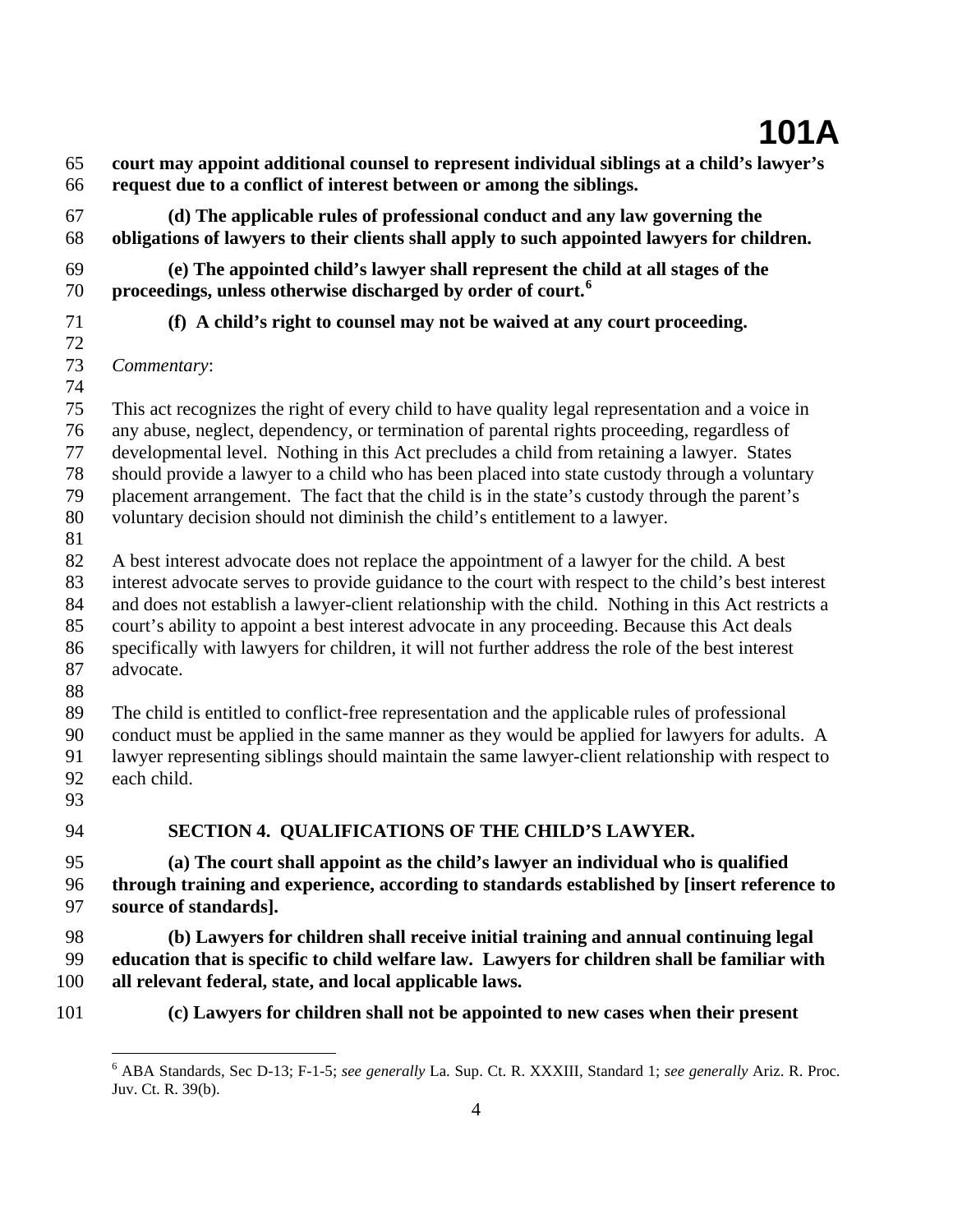- 65 66 **court may appoint additional counsel to represent individual siblings at a child's lawyer's request due to a conflict of interest between or among the siblings.**
- 67 68 **(d) The applicable rules of professional conduct and any law governing the obligations of lawyers to their clients shall apply to such appointed lawyers for children.**
- 69 70  **(e) The appointed child's lawyer shall represent the child at all stages of the proceedings, unless otherwise discharged by order of court.[6](#page-3-0)**
- 71
- **(f) A child's right to counsel may not be waived at any court proceeding.**
- 72
- 73 *Commentary*:
- 74

75 This act recognizes the right of every child to have quality legal representation and a voice in

76 any abuse, neglect, dependency, or termination of parental rights proceeding, regardless of

77 78 developmental level. Nothing in this Act precludes a child from retaining a lawyer. States should provide a lawyer to a child who has been placed into state custody through a voluntary

79 placement arrangement. The fact that the child is in the state's custody through the parent's

- 80 voluntary decision should not diminish the child's entitlement to a lawyer.
- 81

82 A best interest advocate does not replace the appointment of a lawyer for the child. A best

83 interest advocate serves to provide guidance to the court with respect to the child's best interest

- 84 and does not establish a lawyer-client relationship with the child. Nothing in this Act restricts a
- 85 court's ability to appoint a best interest advocate in any proceeding. Because this Act deals
- 86 87 specifically with lawyers for children, it will not further address the role of the best interest advocate.
- 88

89 The child is entitled to conflict-free representation and the applicable rules of professional

90 conduct must be applied in the same manner as they would be applied for lawyers for adults. A

- 91 92 lawyer representing siblings should maintain the same lawyer-client relationship with respect to each child.
- 93

94

### **SECTION 4. QUALIFICATIONS OF THE CHILD'S LAWYER.**

95 96 97 **(a) The court shall appoint as the child's lawyer an individual who is qualified through training and experience, according to standards established by [insert reference to source of standards].** 

98 99 100  **(b) Lawyers for children shall receive initial training and annual continuing legal education that is specific to child welfare law. Lawyers for children shall be familiar with all relevant federal, state, and local applicable laws.** 

<span id="page-3-0"></span>101

1

**(c) Lawyers for children shall not be appointed to new cases when their present** 

<sup>6</sup> ABA Standards, Sec D-13; F-1-5; *see generally* La. Sup. Ct. R. XXXIII, Standard 1; *see generally* Ariz. R. Proc. Juv. Ct. R. 39(b).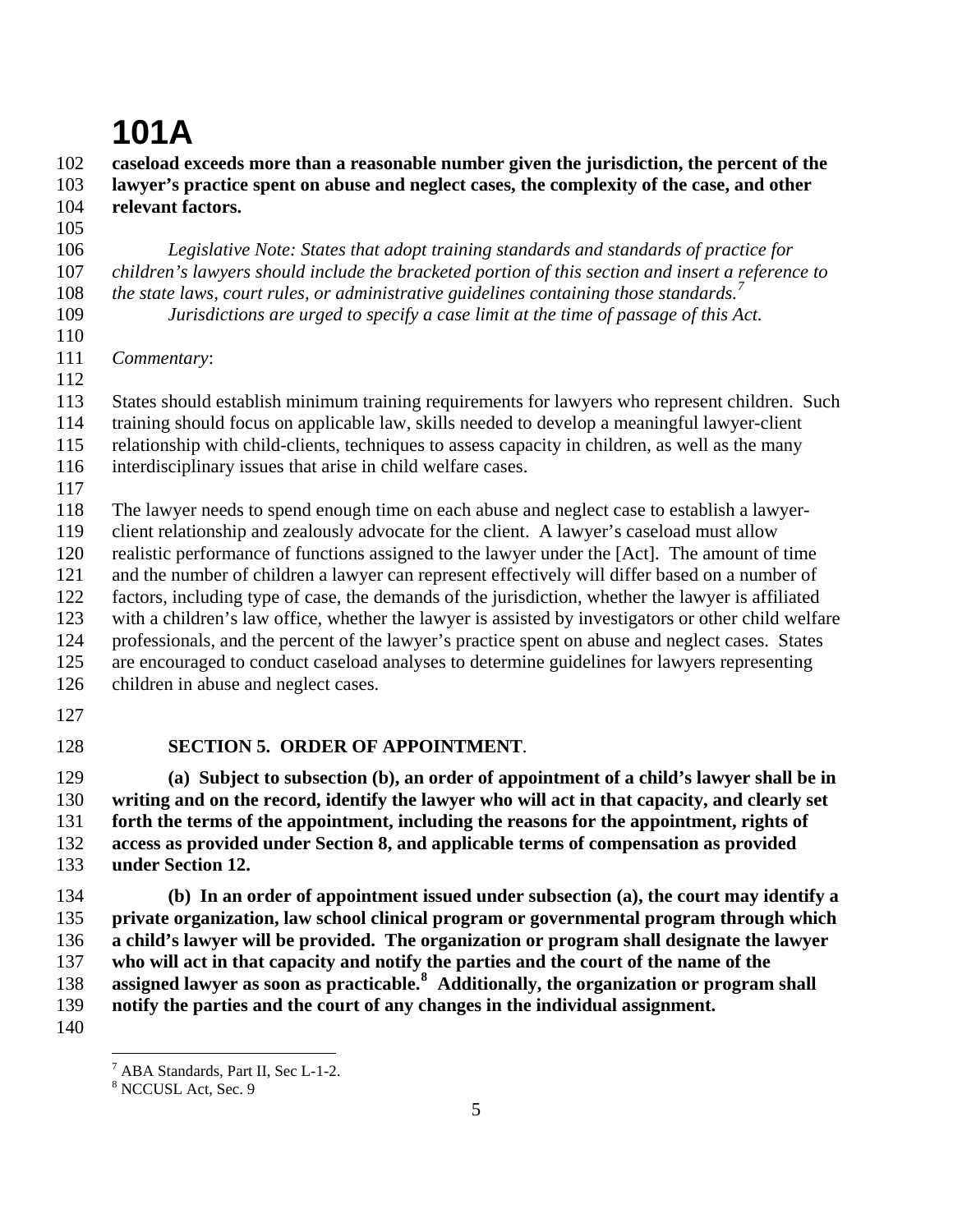102 103 104 **caseload exceeds more than a reasonable number given the jurisdiction, the percent of the lawyer's practice spent on abuse and neglect cases, the complexity of the case, and other relevant factors.** 

105

### *Legislative Note: States that adopt training standards and standards of practice for*

106 107 108 109 *children's lawyers should include the bracketed portion of this section and insert a reference to the state laws, court rules, or administrative guidelines containing those standards.[7](#page-4-0)*

*Jurisdictions are urged to specify a case limit at the time of passage of this Act.* 

110

111 112 *Commentary*:

113 States should establish minimum training requirements for lawyers who represent children. Such

114 training should focus on applicable law, skills needed to develop a meaningful lawyer-client

115 relationship with child-clients, techniques to assess capacity in children, as well as the many

116 interdisciplinary issues that arise in child welfare cases.

117

118 The lawyer needs to spend enough time on each abuse and neglect case to establish a lawyer-

119 client relationship and zealously advocate for the client. A lawyer's caseload must allow

120 realistic performance of functions assigned to the lawyer under the [Act]. The amount of time

121 and the number of children a lawyer can represent effectively will differ based on a number of

122 factors, including type of case, the demands of the jurisdiction, whether the lawyer is affiliated

123 with a children's law office, whether the lawyer is assisted by investigators or other child welfare

124 125 professionals, and the percent of the lawyer's practice spent on abuse and neglect cases. States are encouraged to conduct caseload analyses to determine guidelines for lawyers representing

- 126 children in abuse and neglect cases.
	- 127
	- 128 **SECTION 5. ORDER OF APPOINTMENT**.

129 130 131 132 133 **(a) Subject to subsection (b), an order of appointment of a child's lawyer shall be in writing and on the record, identify the lawyer who will act in that capacity, and clearly set forth the terms of the appointment, including the reasons for the appointment, rights of access as provided under Section 8, and applicable terms of compensation as provided under Section 12.** 

134 135 136 137 138 139  **(b) In an order of appointment issued under subsection (a), the court may identify a private organization, law school clinical program or governmental program through which a child's lawyer will be provided. The organization or program shall designate the lawyer who will act in that capacity and notify the parties and the court of the name of the assigned lawyer as soon as practicable.[8](#page-4-1) Additionally, the organization or program shall notify the parties and the court of any changes in the individual assignment.** 

<sup>1</sup> <sup>7</sup> ABA Standards, Part II, Sec L-1-2.

<span id="page-4-1"></span><span id="page-4-0"></span><sup>8</sup> NCCUSL Act, Sec. 9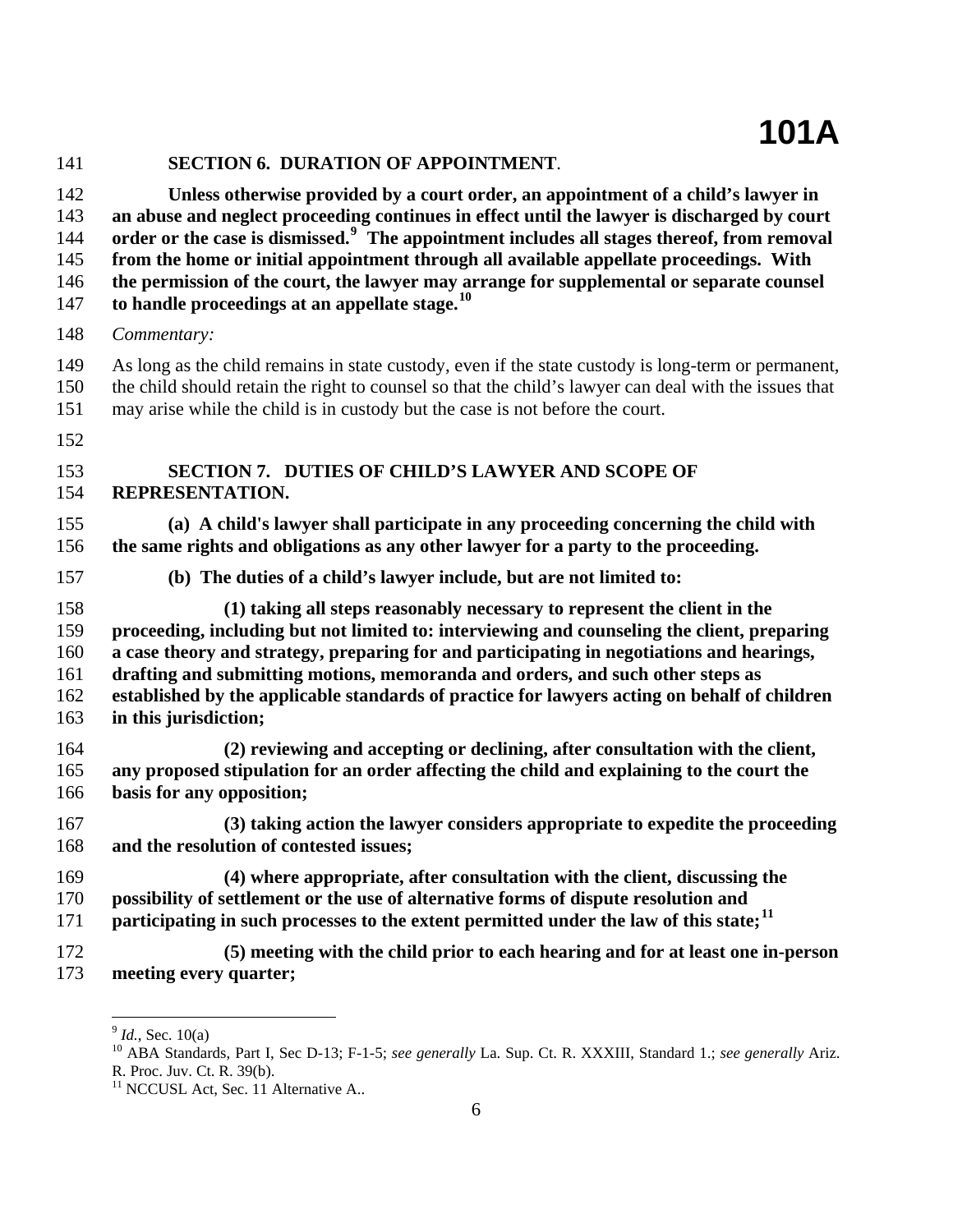| 141 | <b>SECTION 6. DURATION OF APPOINTMENT.</b>                                                             |
|-----|--------------------------------------------------------------------------------------------------------|
| 142 | Unless otherwise provided by a court order, an appointment of a child's lawyer in                      |
| 143 | an abuse and neglect proceeding continues in effect until the lawyer is discharged by court            |
| 144 | order or the case is dismissed. <sup>9</sup> The appointment includes all stages thereof, from removal |
| 145 | from the home or initial appointment through all available appellate proceedings. With                 |
| 146 | the permission of the court, the lawyer may arrange for supplemental or separate counsel               |
| 147 | to handle proceedings at an appellate stage. <sup>10</sup>                                             |
| 148 | Commentary:                                                                                            |
| 149 | As long as the child remains in state custody, even if the state custody is long-term or permanent,    |
| 150 | the child should retain the right to counsel so that the child's lawyer can deal with the issues that  |
| 151 | may arise while the child is in custody but the case is not before the court.                          |
| 152 |                                                                                                        |
| 153 | SECTION 7. DUTIES OF CHILD'S LAWYER AND SCOPE OF                                                       |
| 154 | REPRESENTATION.                                                                                        |
| 155 | (a) A child's lawyer shall participate in any proceeding concerning the child with                     |
| 156 | the same rights and obligations as any other lawyer for a party to the proceeding.                     |
| 157 | (b) The duties of a child's lawyer include, but are not limited to:                                    |
| 158 | (1) taking all steps reasonably necessary to represent the client in the                               |
| 159 | proceeding, including but not limited to: interviewing and counseling the client, preparing            |
| 160 | a case theory and strategy, preparing for and participating in negotiations and hearings,              |
| 161 | drafting and submitting motions, memoranda and orders, and such other steps as                         |
| 162 | established by the applicable standards of practice for lawyers acting on behalf of children           |
| 163 | in this jurisdiction;                                                                                  |
| 164 | (2) reviewing and accepting or declining, after consultation with the client,                          |
| 165 | any proposed stipulation for an order affecting the child and explaining to the court the              |
| 166 | basis for any opposition;                                                                              |
| 167 | (3) taking action the lawyer considers appropriate to expedite the proceeding                          |
| 168 | and the resolution of contested issues;                                                                |
| 169 | (4) where appropriate, after consultation with the client, discussing the                              |
| 170 | possibility of settlement or the use of alternative forms of dispute resolution and                    |
| 171 | participating in such processes to the extent permitted under the law of this state; <sup>11</sup>     |
| 172 | (5) meeting with the child prior to each hearing and for at least one in-person                        |
| 173 | meeting every quarter;                                                                                 |

<span id="page-5-1"></span><span id="page-5-0"></span><sup>&</sup>lt;sup>9</sup> *Id.*, Sec. 10(a)<br><sup>10</sup> ABA Standards, Part I, Sec D-13; F-1-5; *see generally* La. Sup. Ct. R. XXXIII, Standard 1.; *see generally* Ariz. R. Proc. Juv. Ct. R. 39(b).

<span id="page-5-2"></span><sup>&</sup>lt;sup>11</sup> NCCUSL Act, Sec. 11 Alternative A..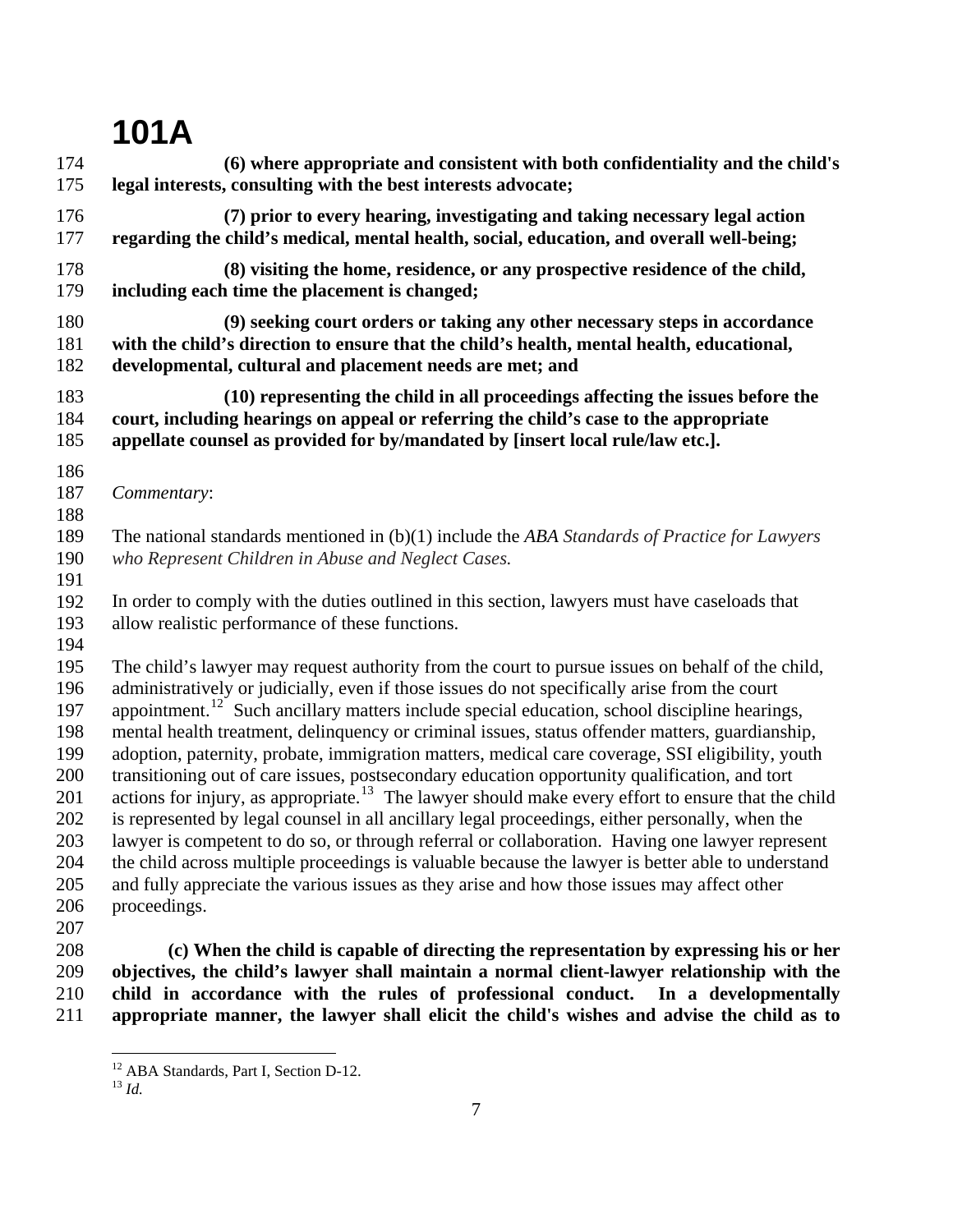| 174                             | (6) where appropriate and consistent with both confidentiality and the child's                                                                                                                                                                                                                                      |
|---------------------------------|---------------------------------------------------------------------------------------------------------------------------------------------------------------------------------------------------------------------------------------------------------------------------------------------------------------------|
| 175                             | legal interests, consulting with the best interests advocate;                                                                                                                                                                                                                                                       |
| 176                             | (7) prior to every hearing, investigating and taking necessary legal action                                                                                                                                                                                                                                         |
| 177                             | regarding the child's medical, mental health, social, education, and overall well-being;                                                                                                                                                                                                                            |
| 178                             | (8) visiting the home, residence, or any prospective residence of the child,                                                                                                                                                                                                                                        |
| 179                             | including each time the placement is changed;                                                                                                                                                                                                                                                                       |
| 180                             | (9) seeking court orders or taking any other necessary steps in accordance                                                                                                                                                                                                                                          |
| 181                             | with the child's direction to ensure that the child's health, mental health, educational,                                                                                                                                                                                                                           |
| 182                             | developmental, cultural and placement needs are met; and                                                                                                                                                                                                                                                            |
| 183                             | (10) representing the child in all proceedings affecting the issues before the                                                                                                                                                                                                                                      |
| 184                             | court, including hearings on appeal or referring the child's case to the appropriate                                                                                                                                                                                                                                |
| 185                             | appellate counsel as provided for by/mandated by [insert local rule/law etc.].                                                                                                                                                                                                                                      |
| 186<br>187<br>188               | Commentary:                                                                                                                                                                                                                                                                                                         |
| 189<br>190<br>191               | The national standards mentioned in $(b)(1)$ include the ABA Standards of Practice for Lawyers<br>who Represent Children in Abuse and Neglect Cases.                                                                                                                                                                |
| 192<br>193<br>194               | In order to comply with the duties outlined in this section, lawyers must have caseloads that<br>allow realistic performance of these functions.                                                                                                                                                                    |
| 195                             | The child's lawyer may request authority from the court to pursue issues on behalf of the child,                                                                                                                                                                                                                    |
| 196                             | administratively or judicially, even if those issues do not specifically arise from the court                                                                                                                                                                                                                       |
| 197                             | appointment. <sup>12</sup> Such ancillary matters include special education, school discipline hearings,                                                                                                                                                                                                            |
| 198                             | mental health treatment, delinquency or criminal issues, status offender matters, guardianship,                                                                                                                                                                                                                     |
| 199                             | adoption, paternity, probate, immigration matters, medical care coverage, SSI eligibility, youth                                                                                                                                                                                                                    |
| 200                             | transitioning out of care issues, postsecondary education opportunity qualification, and tort                                                                                                                                                                                                                       |
| 201                             | actions for injury, as appropriate. <sup>13</sup> The lawyer should make every effort to ensure that the child                                                                                                                                                                                                      |
| 202                             | is represented by legal counsel in all ancillary legal proceedings, either personally, when the                                                                                                                                                                                                                     |
| 203<br>204<br>205<br>206<br>207 | lawyer is competent to do so, or through referral or collaboration. Having one lawyer represent<br>the child across multiple proceedings is valuable because the lawyer is better able to understand<br>and fully appreciate the various issues as they arise and how those issues may affect other<br>proceedings. |
| 208                             | (c) When the child is capable of directing the representation by expressing his or her                                                                                                                                                                                                                              |
| 209                             | objectives, the child's lawyer shall maintain a normal client-lawyer relationship with the                                                                                                                                                                                                                          |
| 210                             | child in accordance with the rules of professional conduct. In a developmentally                                                                                                                                                                                                                                    |

<span id="page-6-0"></span>211 **child in accordance with the rules of professional conduct. In a developmentally appropriate manner, the lawyer shall elicit the child's wishes and advise the child as to** 

<sup>&</sup>lt;sup>12</sup> ABA Standards, Part I, Section D-12.

<span id="page-6-1"></span><sup>13</sup> *Id.*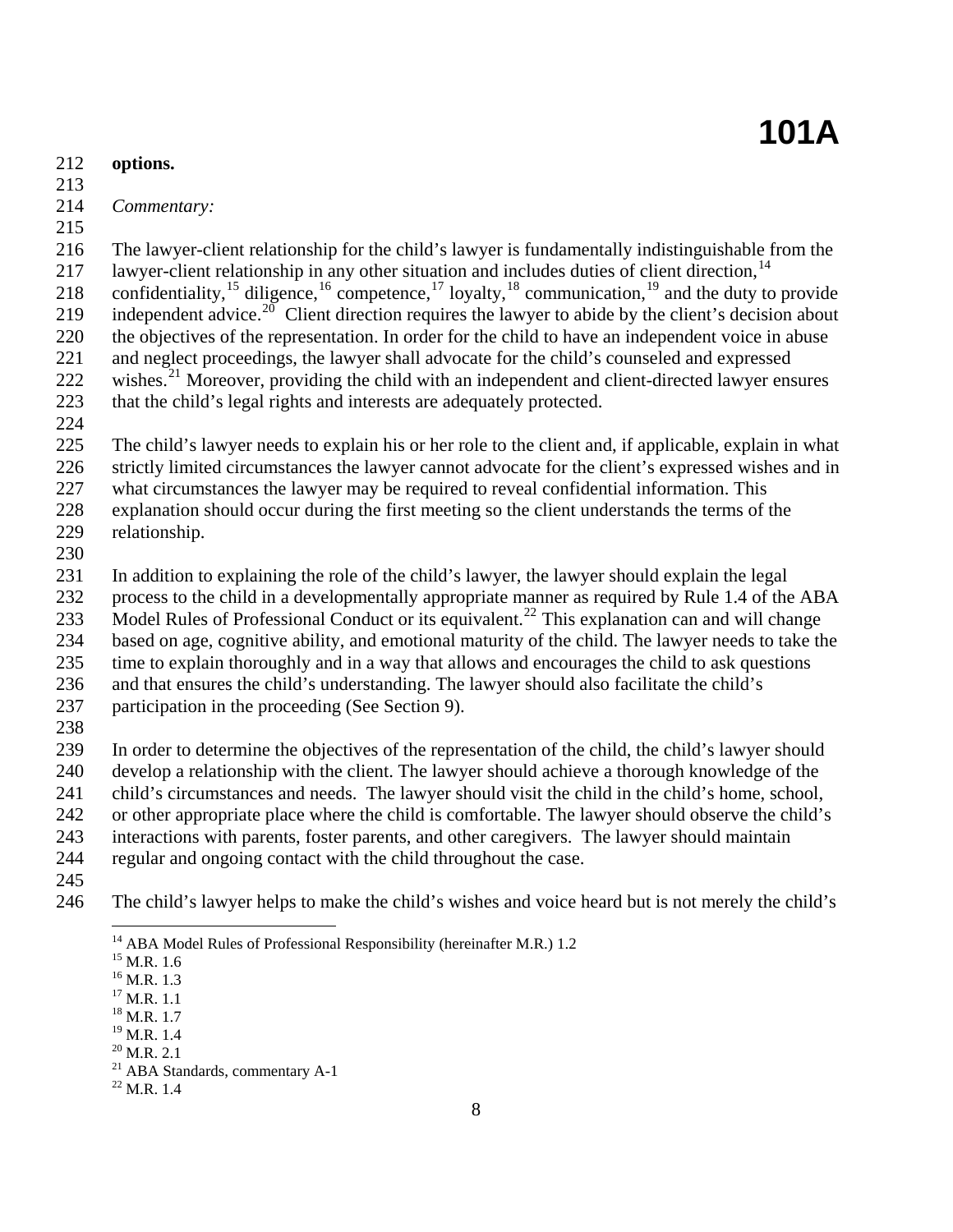- 212 **options.**
- 213
- 214 *Commentary:*
- 215

216 217 The lawyer-client relationship for the child's lawyer is fundamentally indistinguishable from the lawyer-client relationship in any other situation and includes duties of client direction,<sup>[14](#page-7-0)</sup>

218 219 confidentiality,<sup>[15](#page-7-1)</sup> diligence,<sup>[16](#page-7-2)</sup> competence,<sup>[17](#page-7-3)</sup> loyalty,<sup>[18](#page-7-4)</sup> communication,<sup>[19](#page-7-5)</sup> and the duty to provide independent advice.<sup>[20](#page-7-6)</sup> Client direction requires the lawyer to abide by the client's decision about

220 221 the objectives of the representation. In order for the child to have an independent voice in abuse and neglect proceedings, the lawyer shall advocate for the child's counseled and expressed

222 wishes. $^{21}$  $^{21}$  $^{21}$  Moreover, providing the child with an independent and client-directed lawyer ensures

223 that the child's legal rights and interests are adequately protected.

224

225 226 The child's lawyer needs to explain his or her role to the client and, if applicable, explain in what strictly limited circumstances the lawyer cannot advocate for the client's expressed wishes and in

227 what circumstances the lawyer may be required to reveal confidential information. This

228 explanation should occur during the first meeting so the client understands the terms of the relationship.

229 230

231 In addition to explaining the role of the child's lawyer, the lawyer should explain the legal

232 process to the child in a developmentally appropriate manner as required by Rule 1.4 of the ABA

233 Model Rules of Professional Conduct or its equivalent.<sup>[22](#page-7-8)</sup> This explanation can and will change

234 based on age, cognitive ability, and emotional maturity of the child. The lawyer needs to take the

235 236 time to explain thoroughly and in a way that allows and encourages the child to ask questions and that ensures the child's understanding. The lawyer should also facilitate the child's

237 participation in the proceeding (See Section 9).

238

239 240 241 In order to determine the objectives of the representation of the child, the child's lawyer should develop a relationship with the client. The lawyer should achieve a thorough knowledge of the child's circumstances and needs. The lawyer should visit the child in the child's home, school,

242 or other appropriate place where the child is comfortable. The lawyer should observe the child's

243 interactions with parents, foster parents, and other caregivers. The lawyer should maintain

244 regular and ongoing contact with the child throughout the case.

245

<span id="page-7-2"></span><span id="page-7-1"></span><span id="page-7-0"></span>246 The child's lawyer helps to make the child's wishes and voice heard but is not merely the child's

<sup>&</sup>lt;sup>14</sup> ABA Model Rules of Professional Responsibility (hereinafter M.R.) 1.2 <sup>15</sup> M.R. 1.6

 $^{16}$  M.R. 1.3

<span id="page-7-3"></span> $17$  M.R. 1.1

<span id="page-7-4"></span><sup>18</sup> M.R. 1.7

<span id="page-7-5"></span><sup>&</sup>lt;sup>19</sup> M.R. 1.4

<span id="page-7-6"></span> $^{20}$  M.R. 2.1

<sup>21</sup> ABA Standards, commentary A-1

<span id="page-7-8"></span><span id="page-7-7"></span> $^{22}$  M.R. 1.4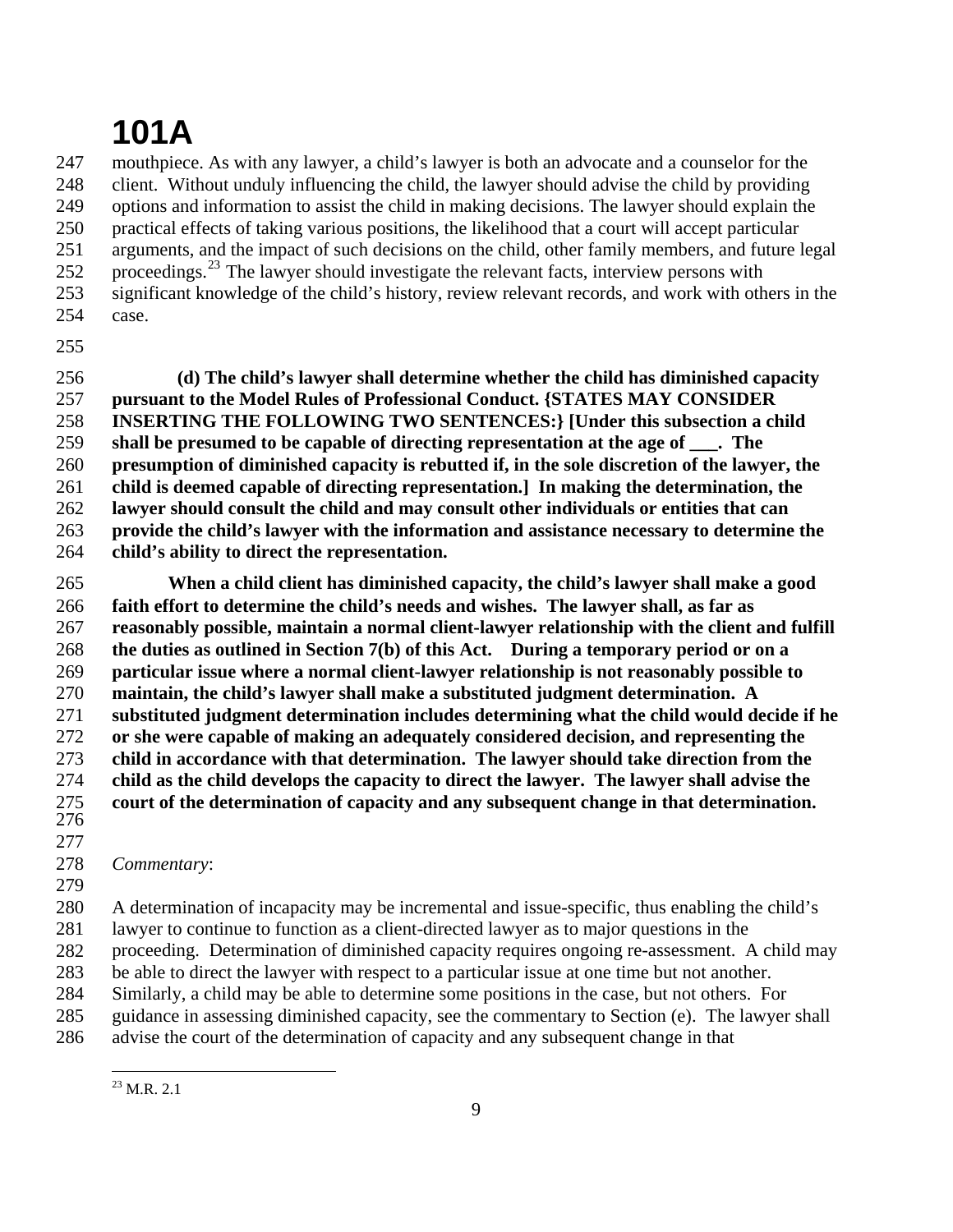247 248 249 250 251 252 253 254 mouthpiece. As with any lawyer, a child's lawyer is both an advocate and a counselor for the client. Without unduly influencing the child, the lawyer should advise the child by providing options and information to assist the child in making decisions. The lawyer should explain the practical effects of taking various positions, the likelihood that a court will accept particular arguments, and the impact of such decisions on the child, other family members, and future legal proceedings.<sup>[23](#page-8-0)</sup> The lawyer should investigate the relevant facts, interview persons with significant knowledge of the child's history, review relevant records, and work with others in the case.

255

256 257 258 259 260 261 262 263 264  **(d) The child's lawyer shall determine whether the child has diminished capacity pursuant to the Model Rules of Professional Conduct. {STATES MAY CONSIDER INSERTING THE FOLLOWING TWO SENTENCES:} [Under this subsection a child shall be presumed to be capable of directing representation at the age of \_\_\_. The presumption of diminished capacity is rebutted if, in the sole discretion of the lawyer, the child is deemed capable of directing representation.] In making the determination, the lawyer should consult the child and may consult other individuals or entities that can provide the child's lawyer with the information and assistance necessary to determine the child's ability to direct the representation.**

265 266 267 268 269 270 271 272 273 274 275 276 **When a child client has diminished capacity, the child's lawyer shall make a good faith effort to determine the child's needs and wishes. The lawyer shall, as far as reasonably possible, maintain a normal client-lawyer relationship with the client and fulfill the duties as outlined in Section 7(b) of this Act. During a temporary period or on a particular issue where a normal client-lawyer relationship is not reasonably possible to maintain, the child's lawyer shall make a substituted judgment determination. A substituted judgment determination includes determining what the child would decide if he or she were capable of making an adequately considered decision, and representing the child in accordance with that determination. The lawyer should take direction from the child as the child develops the capacity to direct the lawyer. The lawyer shall advise the court of the determination of capacity and any subsequent change in that determination.** 

277

#### 278 *Commentary*:

279 280 281 282 283 284 285 286 A determination of incapacity may be incremental and issue-specific, thus enabling the child's lawyer to continue to function as a client-directed lawyer as to major questions in the proceeding. Determination of diminished capacity requires ongoing re-assessment. A child may be able to direct the lawyer with respect to a particular issue at one time but not another. Similarly, a child may be able to determine some positions in the case, but not others. For guidance in assessing diminished capacity, see the commentary to Section (e). The lawyer shall advise the court of the determination of capacity and any subsequent change in that

<span id="page-8-0"></span><sup>1</sup>  $^{23}$  M.R. 2.1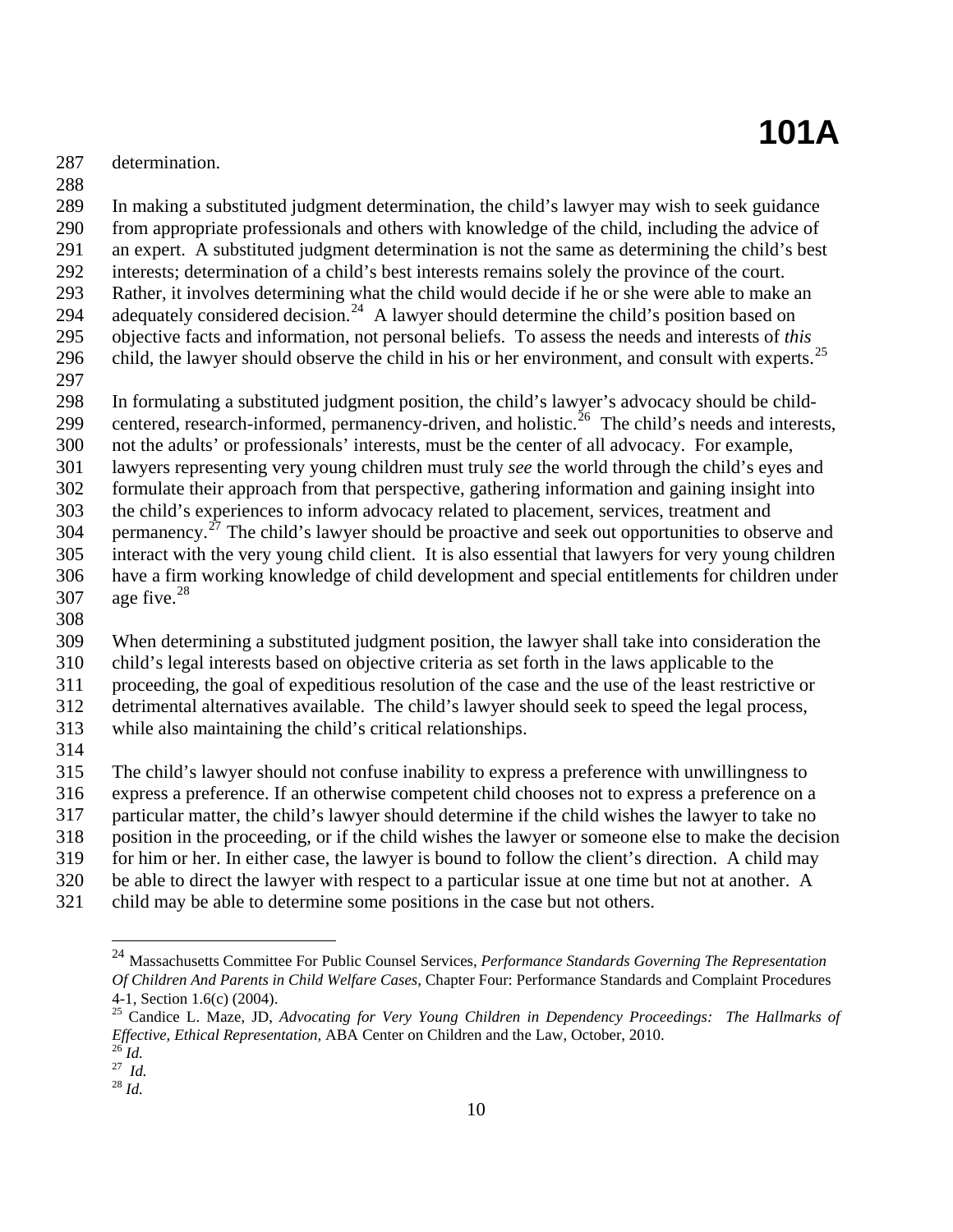287 determination.

288

289 290 291 292 293 294 295 296 In making a substituted judgment determination, the child's lawyer may wish to seek guidance from appropriate professionals and others with knowledge of the child, including the advice of an expert. A substituted judgment determination is not the same as determining the child's best interests; determination of a child's best interests remains solely the province of the court. Rather, it involves determining what the child would decide if he or she were able to make an adequately considered decision.<sup>[24](#page-9-0)</sup> A lawyer should determine the child's position based on objective facts and information, not personal beliefs. To assess the needs and interests of *this* child, the lawyer should observe the child in his or her environment, and consult with experts.<sup>[25](#page-9-1)</sup>

297

298 In formulating a substituted judgment position, the child's lawyer's advocacy should be child-

299 centered, research-informed, permanency-driven, and holistic.<sup>[26](#page-9-2)</sup> The child's needs and interests,

300 not the adults' or professionals' interests, must be the center of all advocacy. For example,

301 lawyers representing very young children must truly *see* the world through the child's eyes and

302 formulate their approach from that perspective, gathering information and gaining insight into

303 the child's experiences to inform advocacy related to placement, services, treatment and

304 permanency.<sup> $27$ </sup> The child's lawyer should be proactive and seek out opportunities to observe and

- 305 306 interact with the very young child client. It is also essential that lawyers for very young children have a firm working knowledge of child development and special entitlements for children under age five. $^{28}$  $^{28}$  $^{28}$
- 307
- 308

309 When determining a substituted judgment position, the lawyer shall take into consideration the

310 child's legal interests based on objective criteria as set forth in the laws applicable to the

311 proceeding, the goal of expeditious resolution of the case and the use of the least restrictive or

312 detrimental alternatives available. The child's lawyer should seek to speed the legal process,

- 313 while also maintaining the child's critical relationships.
- 314

315 The child's lawyer should not confuse inability to express a preference with unwillingness to

316 express a preference. If an otherwise competent child chooses not to express a preference on a

317 particular matter, the child's lawyer should determine if the child wishes the lawyer to take no

318 position in the proceeding, or if the child wishes the lawyer or someone else to make the decision

319 for him or her. In either case, the lawyer is bound to follow the client's direction. A child may

320 be able to direct the lawyer with respect to a particular issue at one time but not at another. A

<span id="page-9-0"></span>321 child may be able to determine some positions in the case but not others.

<u>.</u>

<sup>24</sup> Massachusetts Committee For Public Counsel Services, *Performance Standards Governing The Representation Of Children And Parents in Child Welfare Cases*, Chapter Four: Performance Standards and Complaint Procedures 4-1, Section 1.6(c) (2004).

<span id="page-9-1"></span><sup>25</sup> Candice L. Maze, JD, *Advocating for Very Young Children in Dependency Proceedings: The Hallmarks of Effective, Ethical Representation, ABA Center on Children and the Law, October, 2010.*<br><sup>26</sup> *Id.* 

<span id="page-9-3"></span><span id="page-9-2"></span><sup>27</sup> *Id.*

<span id="page-9-4"></span><sup>28</sup> *Id.*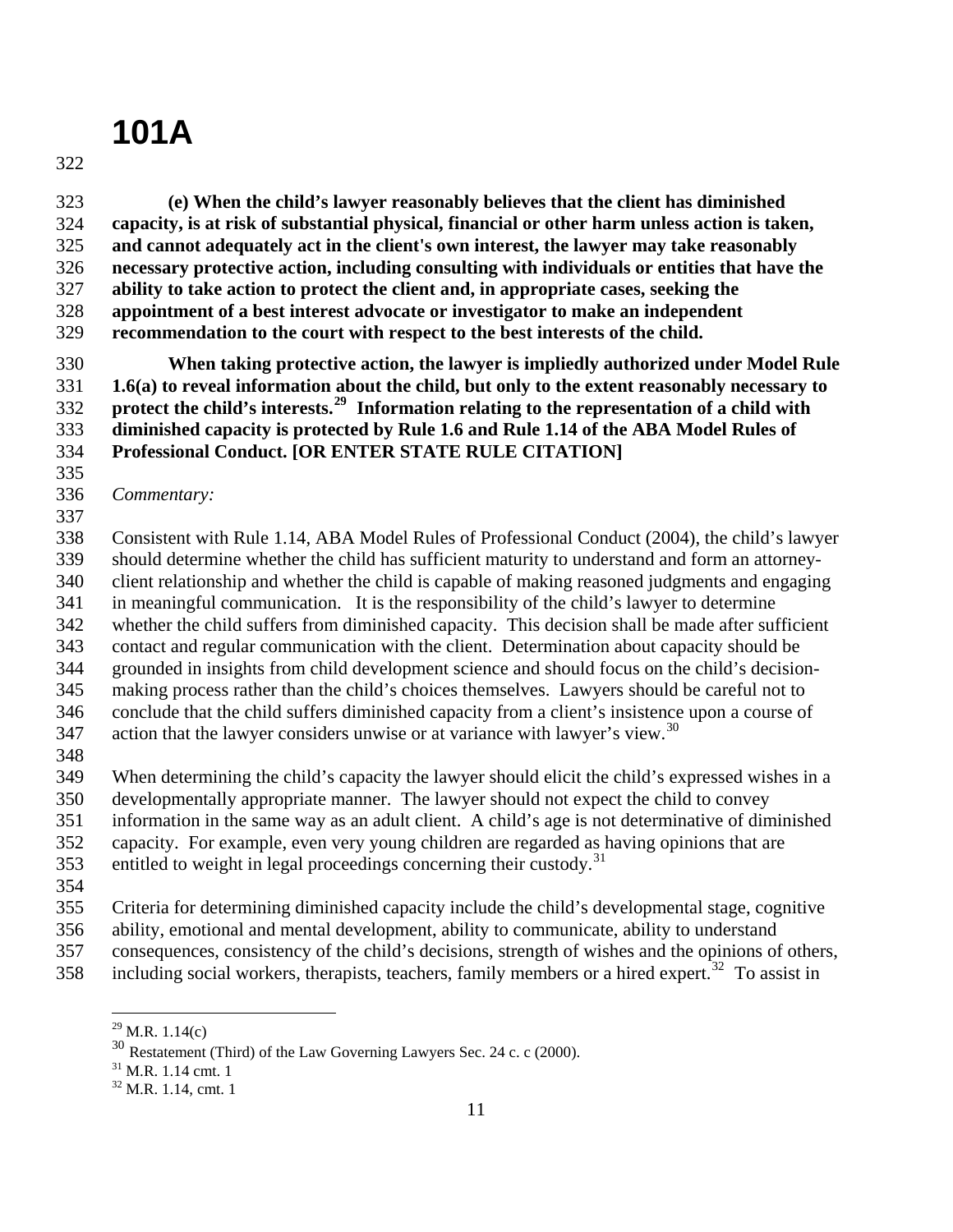322

323 324 325 326 327 328 329  **(e) When the child's lawyer reasonably believes that the client has diminished capacity, is at risk of substantial physical, financial or other harm unless action is taken, and cannot adequately act in the client's own interest, the lawyer may take reasonably necessary protective action, including consulting with individuals or entities that have the ability to take action to protect the client and, in appropriate cases, seeking the appointment of a best interest advocate or investigator to make an independent recommendation to the court with respect to the best interests of the child.** 

330 331 332 333 334  **When taking protective action, the lawyer is impliedly authorized under Model Rule 1.6(a) to reveal information about the child, but only to the extent reasonably necessary to protect the child's interests.[29](#page-10-0) Information relating to the representation of a child with diminished capacity is protected by Rule 1.6 and Rule 1.14 of the ABA Model Rules of Professional Conduct. [OR ENTER STATE RULE CITATION]** 

- 335
- 336 *Commentary:*
- 337

338 339 340 341 Consistent with Rule 1.14, ABA Model Rules of Professional Conduct (2004), the child's lawyer should determine whether the child has sufficient maturity to understand and form an attorneyclient relationship and whether the child is capable of making reasoned judgments and engaging in meaningful communication. It is the responsibility of the child's lawyer to determine

- 342 whether the child suffers from diminished capacity. This decision shall be made after sufficient
- 343 344 contact and regular communication with the client. Determination about capacity should be grounded in insights from child development science and should focus on the child's decision-
- 345 making process rather than the child's choices themselves. Lawyers should be careful not to
- 346 conclude that the child suffers diminished capacity from a client's insistence upon a course of

347 action that the lawyer considers unwise or at variance with lawyer's view.<sup>[30](#page-10-1)</sup>

348

349 When determining the child's capacity the lawyer should elicit the child's expressed wishes in a

350 developmentally appropriate manner. The lawyer should not expect the child to convey

351 information in the same way as an adult client. A child's age is not determinative of diminished

- 352 capacity. For example, even very young children are regarded as having opinions that are
- 353 entitled to weight in legal proceedings concerning their custody.<sup>[31](#page-10-2)</sup>
- 354

355 Criteria for determining diminished capacity include the child's developmental stage, cognitive

- 356 ability, emotional and mental development, ability to communicate, ability to understand
- 357 consequences, consistency of the child's decisions, strength of wishes and the opinions of others,
- <span id="page-10-1"></span><span id="page-10-0"></span>358 including social workers, therapists, teachers, family members or a hired expert.<sup>[32](#page-10-3)</sup> To assist in

<sup>1</sup>  $^{29}$  M.R. 1.14(c)

<sup>30</sup> Restatement (Third) of the Law Governing Lawyers Sec. 24 c. c (2000).

<span id="page-10-3"></span><span id="page-10-2"></span><sup>31</sup> M.R. 1.14 cmt. 1

 $32$  M.R. 1.14, cmt. 1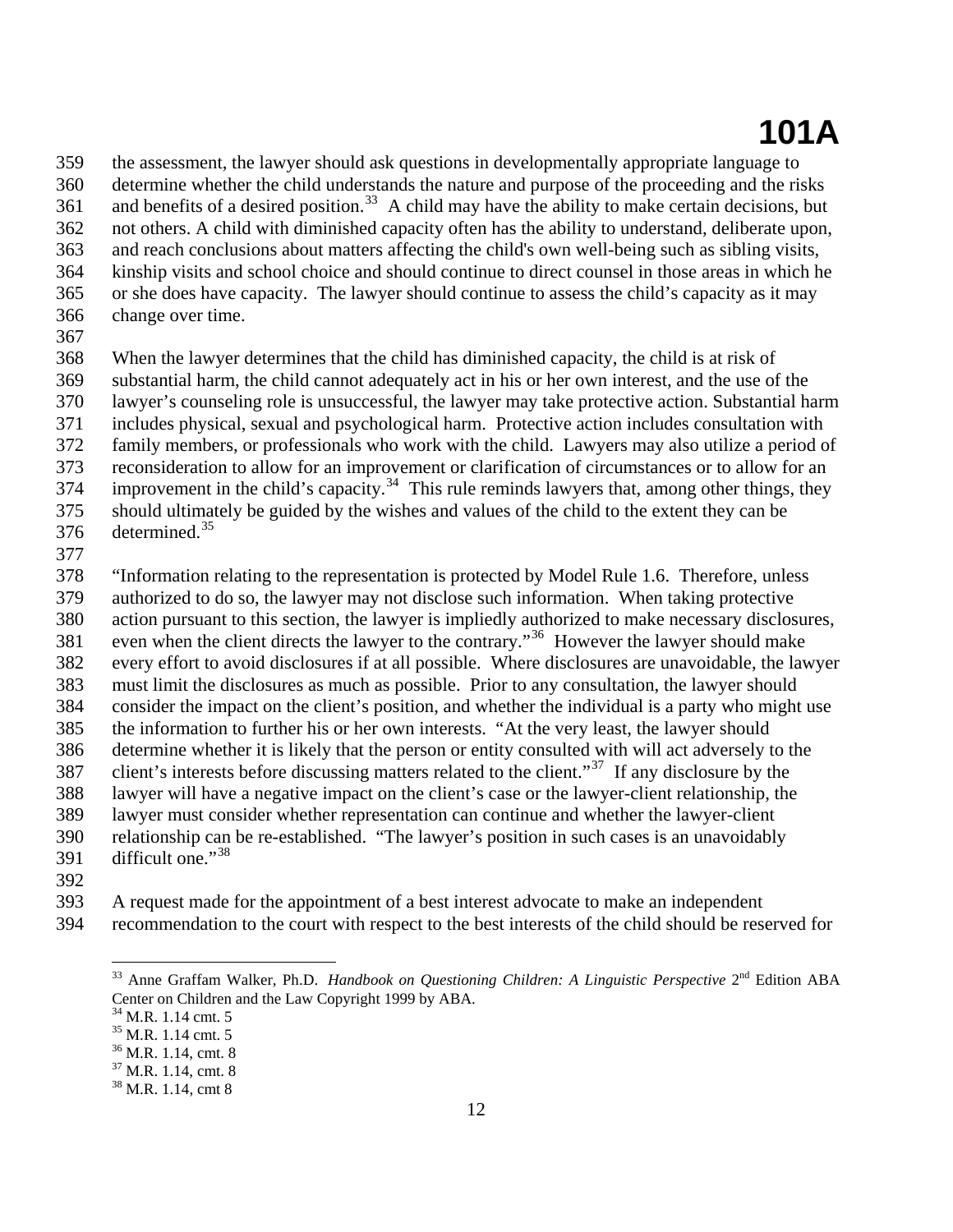359 360 361 362 363 364 365 366 the assessment, the lawyer should ask questions in developmentally appropriate language to determine whether the child understands the nature and purpose of the proceeding and the risks and benefits of a desired position.<sup>[33](#page-11-0)</sup> A child may have the ability to make certain decisions, but not others. A child with diminished capacity often has the ability to understand, deliberate upon, and reach conclusions about matters affecting the child's own well-being such as sibling visits, kinship visits and school choice and should continue to direct counsel in those areas in which he or she does have capacity. The lawyer should continue to assess the child's capacity as it may change over time.

367

368 When the lawyer determines that the child has diminished capacity, the child is at risk of

369 substantial harm, the child cannot adequately act in his or her own interest, and the use of the

370 lawyer's counseling role is unsuccessful, the lawyer may take protective action. Substantial harm

371 includes physical, sexual and psychological harm. Protective action includes consultation with

372 family members, or professionals who work with the child. Lawyers may also utilize a period of

- 373 reconsideration to allow for an improvement or clarification of circumstances or to allow for an
- 374 improvement in the child's capacity.<sup>[34](#page-11-1)</sup> This rule reminds lawyers that, among other things, they
- 375 376 should ultimately be guided by the wishes and values of the child to the extent they can be determined.[35](#page-11-2)
- 377

378 379 "Information relating to the representation is protected by Model Rule 1.6. Therefore, unless authorized to do so, the lawyer may not disclose such information. When taking protective

380 381 action pursuant to this section, the lawyer is impliedly authorized to make necessary disclosures, even when the client directs the lawyer to the contrary."<sup>[36](#page-11-3)</sup> However the lawyer should make

382 every effort to avoid disclosures if at all possible. Where disclosures are unavoidable, the lawyer

- 383 must limit the disclosures as much as possible. Prior to any consultation, the lawyer should
- 384 consider the impact on the client's position, and whether the individual is a party who might use

385 the information to further his or her own interests. "At the very least, the lawyer should

386 387 determine whether it is likely that the person or entity consulted with will act adversely to the client's interests before discussing matters related to the client."[37](#page-11-4) If any disclosure by the

- 388 lawyer will have a negative impact on the client's case or the lawyer-client relationship, the
- 389 lawyer must consider whether representation can continue and whether the lawyer-client
- 390 relationship can be re-established. "The lawyer's position in such cases is an unavoidably
- 391 difficult one." $38$

1

392

393 A request made for the appointment of a best interest advocate to make an independent

<span id="page-11-1"></span><span id="page-11-0"></span>394 recommendation to the court with respect to the best interests of the child should be reserved for

<sup>&</sup>lt;sup>33</sup> Anne Graffam Walker, Ph.D. *Handbook on Questioning Children: A Linguistic Perspective* 2<sup>nd</sup> Edition ABA Center on Children and the Law Copyright 1999 by ABA.

<sup>&</sup>lt;sup>34</sup> M.R. 1.14 cmt. 5

<sup>35</sup> M.R. 1.14 cmt. 5

<span id="page-11-3"></span><span id="page-11-2"></span><sup>36</sup> M.R. 1.14, cmt. 8

<span id="page-11-5"></span><span id="page-11-4"></span><sup>37</sup> M.R. 1.14, cmt. 8

 $38$  M.R. 1.14, cmt 8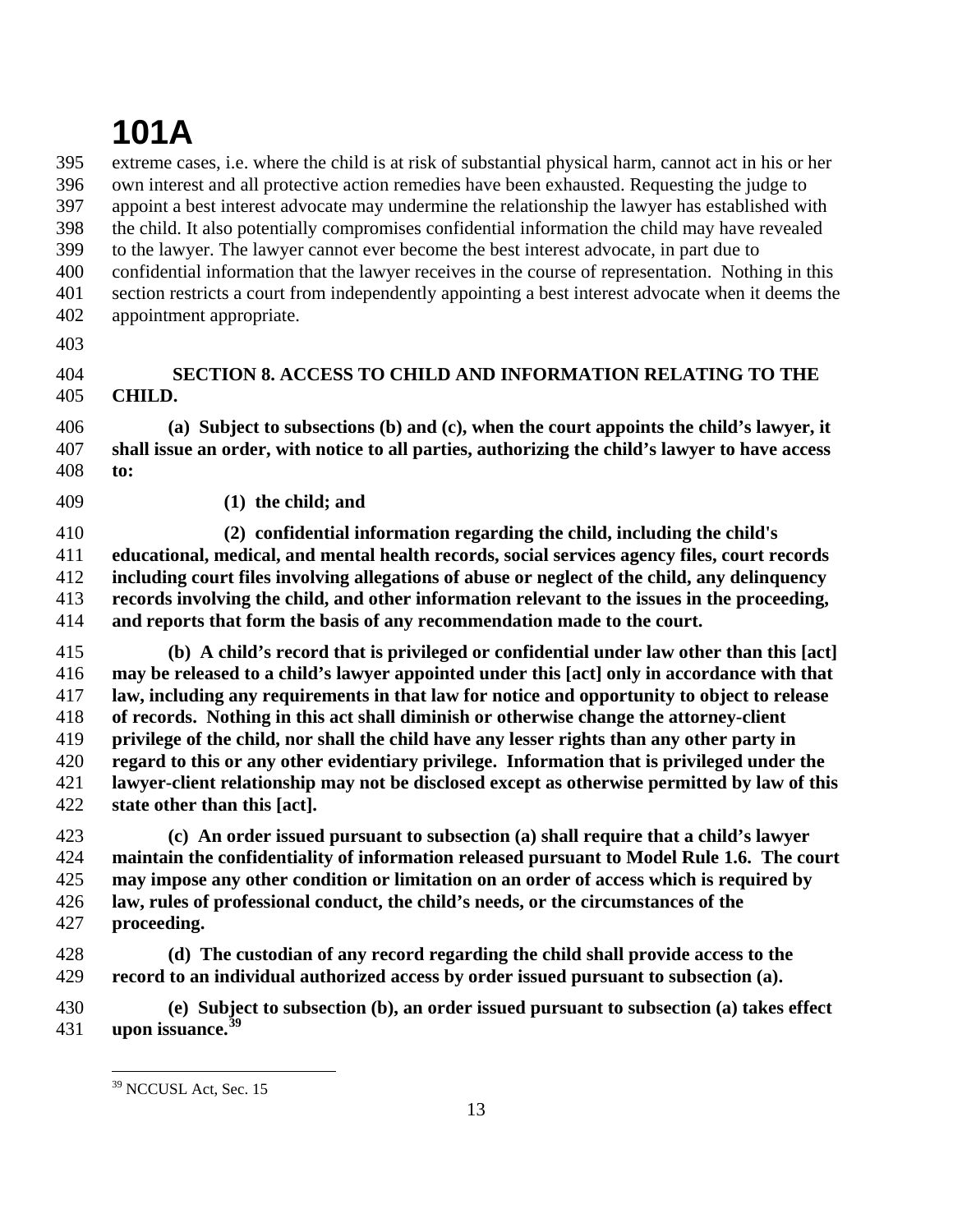395 396 397 398 399 400 401 402 extreme cases, i.e. where the child is at risk of substantial physical harm, cannot act in his or her own interest and all protective action remedies have been exhausted. Requesting the judge to appoint a best interest advocate may undermine the relationship the lawyer has established with the child. It also potentially compromises confidential information the child may have revealed to the lawyer. The lawyer cannot ever become the best interest advocate, in part due to confidential information that the lawyer receives in the course of representation. Nothing in this section restricts a court from independently appointing a best interest advocate when it deems the appointment appropriate.

403

#### 404 405 **SECTION 8. ACCESS TO CHILD AND INFORMATION RELATING TO THE CHILD.**

406 407 408 **(a) Subject to subsections (b) and (c), when the court appoints the child's lawyer, it shall issue an order, with notice to all parties, authorizing the child's lawyer to have access to:** 

409  **(1) the child; and** 

410 411 412 413 414  **(2) confidential information regarding the child, including the child's educational, medical, and mental health records, social services agency files, court records including court files involving allegations of abuse or neglect of the child, any delinquency records involving the child, and other information relevant to the issues in the proceeding, and reports that form the basis of any recommendation made to the court.** 

415 416 417 418 419 420 421 422  **(b) A child's record that is privileged or confidential under law other than this [act] may be released to a child's lawyer appointed under this [act] only in accordance with that law, including any requirements in that law for notice and opportunity to object to release of records. Nothing in this act shall diminish or otherwise change the attorney-client privilege of the child, nor shall the child have any lesser rights than any other party in regard to this or any other evidentiary privilege. Information that is privileged under the lawyer-client relationship may not be disclosed except as otherwise permitted by law of this state other than this [act].** 

423 424 425 426 427  **(c) An order issued pursuant to subsection (a) shall require that a child's lawyer maintain the confidentiality of information released pursuant to Model Rule 1.6. The court may impose any other condition or limitation on an order of access which is required by law, rules of professional conduct, the child's needs, or the circumstances of the proceeding.** 

428 429  **(d) The custodian of any record regarding the child shall provide access to the record to an individual authorized access by order issued pursuant to subsection (a).** 

<span id="page-12-0"></span>430 431  **(e) Subject to subsection (b), an order issued pursuant to subsection (a) takes effect upon issuance.[39](#page-12-0)**

<sup>&</sup>lt;sup>39</sup> NCCUSL Act, Sec. 15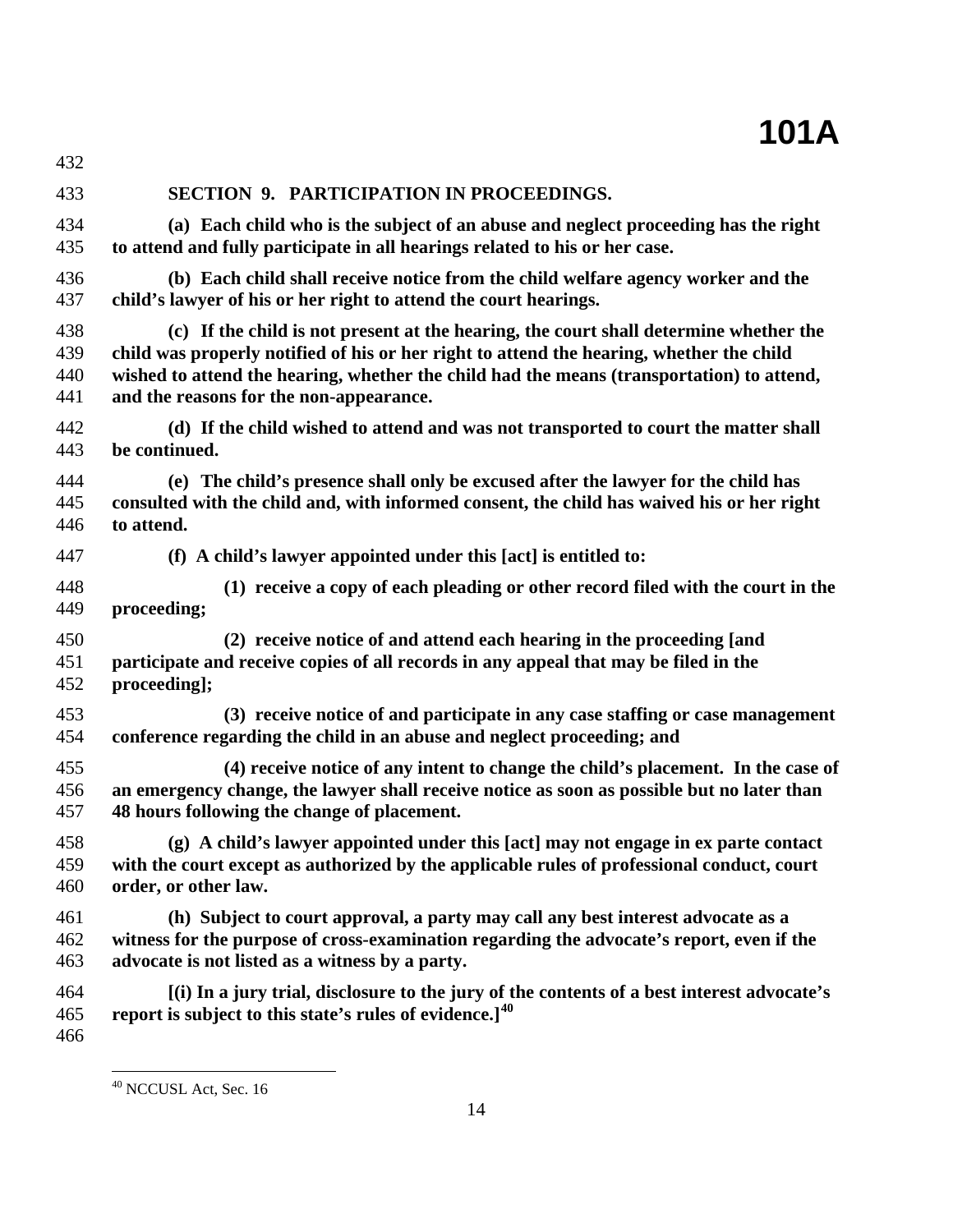| 432               |                                                                                                                                                                   |
|-------------------|-------------------------------------------------------------------------------------------------------------------------------------------------------------------|
| 433               | SECTION 9. PARTICIPATION IN PROCEEDINGS.                                                                                                                          |
| 434               | (a) Each child who is the subject of an abuse and neglect proceeding has the right                                                                                |
| 435               | to attend and fully participate in all hearings related to his or her case.                                                                                       |
| 436               | (b) Each child shall receive notice from the child welfare agency worker and the                                                                                  |
| 437               | child's lawyer of his or her right to attend the court hearings.                                                                                                  |
| 438               | (c) If the child is not present at the hearing, the court shall determine whether the                                                                             |
| 439               | child was properly notified of his or her right to attend the hearing, whether the child                                                                          |
| 440               | wished to attend the hearing, whether the child had the means (transportation) to attend,                                                                         |
| 441               | and the reasons for the non-appearance.                                                                                                                           |
| 442               | (d) If the child wished to attend and was not transported to court the matter shall                                                                               |
| 443               | be continued.                                                                                                                                                     |
| 444               | (e) The child's presence shall only be excused after the lawyer for the child has                                                                                 |
| 445               | consulted with the child and, with informed consent, the child has waived his or her right                                                                        |
| 446               | to attend.                                                                                                                                                        |
| 447               | (f) A child's lawyer appointed under this [act] is entitled to:                                                                                                   |
| 448               | (1) receive a copy of each pleading or other record filed with the court in the                                                                                   |
| 449               | proceeding;                                                                                                                                                       |
| 450               | (2) receive notice of and attend each hearing in the proceeding [and                                                                                              |
| 451               | participate and receive copies of all records in any appeal that may be filed in the                                                                              |
| 452               | proceeding];                                                                                                                                                      |
| 453               | (3) receive notice of and participate in any case staffing or case management                                                                                     |
| 454               | conference regarding the child in an abuse and neglect proceeding; and                                                                                            |
| 455               | (4) receive notice of any intent to change the child's placement. In the case of                                                                                  |
| 456               | an emergency change, the lawyer shall receive notice as soon as possible but no later than                                                                        |
| 457               | 48 hours following the change of placement.                                                                                                                       |
| 458               | $(g)$ A child's lawyer appointed under this [act] may not engage in ex parte contact                                                                              |
| 459               | with the court except as authorized by the applicable rules of professional conduct, court                                                                        |
| 460               | order, or other law.                                                                                                                                              |
| 461               | (h) Subject to court approval, a party may call any best interest advocate as a                                                                                   |
| 462               | witness for the purpose of cross-examination regarding the advocate's report, even if the                                                                         |
| 463               | advocate is not listed as a witness by a party.                                                                                                                   |
| 464<br>465<br>466 | [(i) In a jury trial, disclosure to the jury of the contents of a best interest advocate's<br>report is subject to this state's rules of evidence. <sup>140</sup> |

<span id="page-13-0"></span><sup>1</sup> <sup>40</sup> NCCUSL Act, Sec. 16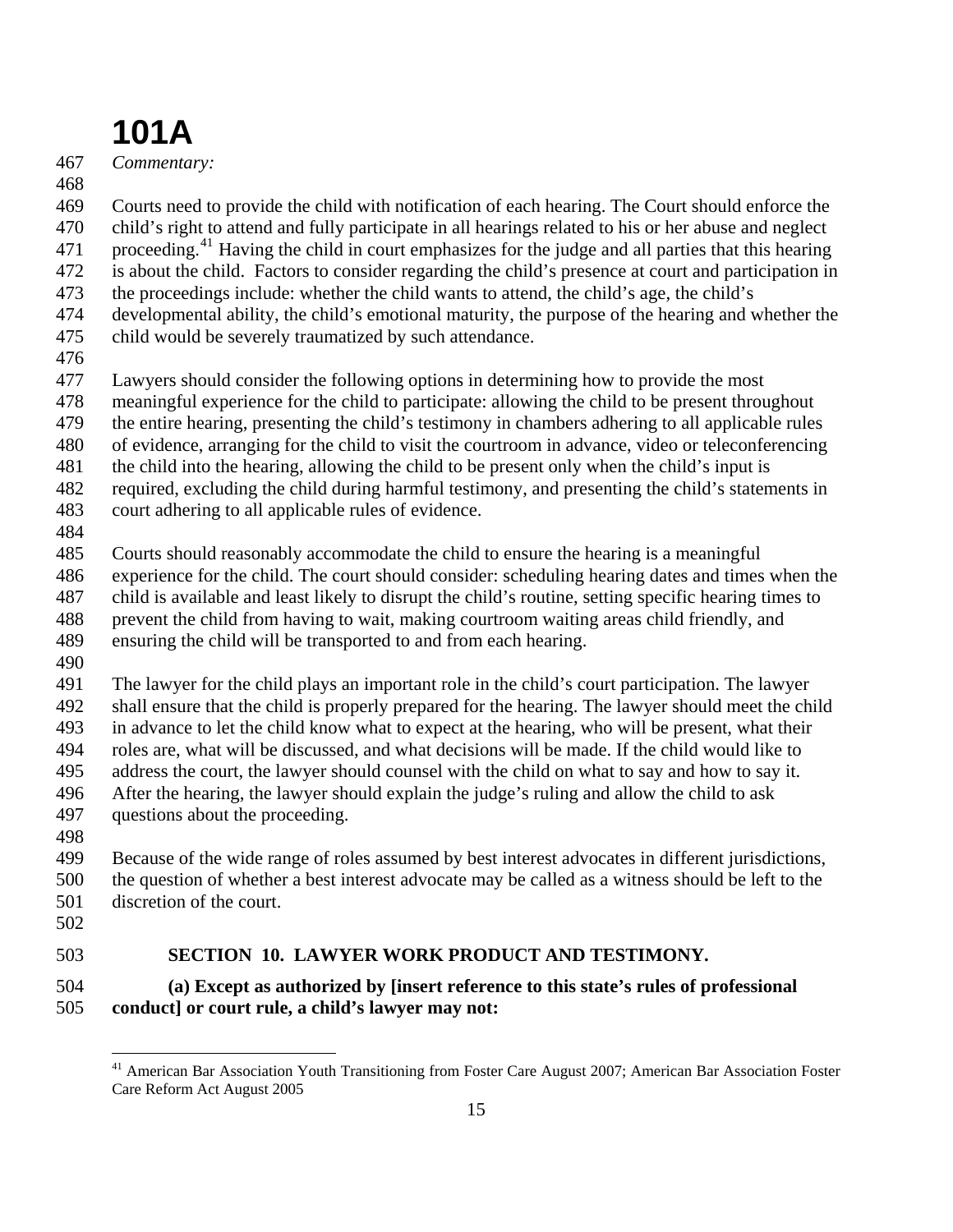467 *Commentary:* 

468

469 470 Courts need to provide the child with notification of each hearing. The Court should enforce the child's right to attend and fully participate in all hearings related to his or her abuse and neglect

471 proceeding.<sup>[41](#page-14-0)</sup> Having the child in court emphasizes for the judge and all parties that this hearing

472 is about the child. Factors to consider regarding the child's presence at court and participation in

473 the proceedings include: whether the child wants to attend, the child's age, the child's

474 475 developmental ability, the child's emotional maturity, the purpose of the hearing and whether the child would be severely traumatized by such attendance.

476

477 Lawyers should consider the following options in determining how to provide the most

478 meaningful experience for the child to participate: allowing the child to be present throughout

479 the entire hearing, presenting the child's testimony in chambers adhering to all applicable rules

480 of evidence, arranging for the child to visit the courtroom in advance, video or teleconferencing

481 the child into the hearing, allowing the child to be present only when the child's input is

482 required, excluding the child during harmful testimony, and presenting the child's statements in

- 483 court adhering to all applicable rules of evidence.
- 484

485 Courts should reasonably accommodate the child to ensure the hearing is a meaningful

486 experience for the child. The court should consider: scheduling hearing dates and times when the

- 487 488 child is available and least likely to disrupt the child's routine, setting specific hearing times to prevent the child from having to wait, making courtroom waiting areas child friendly, and
- 489 ensuring the child will be transported to and from each hearing.
- 490

491 492 The lawyer for the child plays an important role in the child's court participation. The lawyer shall ensure that the child is properly prepared for the hearing. The lawyer should meet the child

493 in advance to let the child know what to expect at the hearing, who will be present, what their

494 495 roles are, what will be discussed, and what decisions will be made. If the child would like to address the court, the lawyer should counsel with the child on what to say and how to say it.

- 496 After the hearing, the lawyer should explain the judge's ruling and allow the child to ask
- 497 questions about the proceeding.
- 498

499 500 501 Because of the wide range of roles assumed by best interest advocates in different jurisdictions, the question of whether a best interest advocate may be called as a witness should be left to the discretion of the court.

502

1

#### 503  **SECTION 10. LAWYER WORK PRODUCT AND TESTIMONY.**

#### <span id="page-14-0"></span>504 505 **(a) Except as authorized by [insert reference to this state's rules of professional conduct] or court rule, a child's lawyer may not:**

<sup>&</sup>lt;sup>41</sup> American Bar Association Youth Transitioning from Foster Care August 2007; American Bar Association Foster Care Reform Act August 2005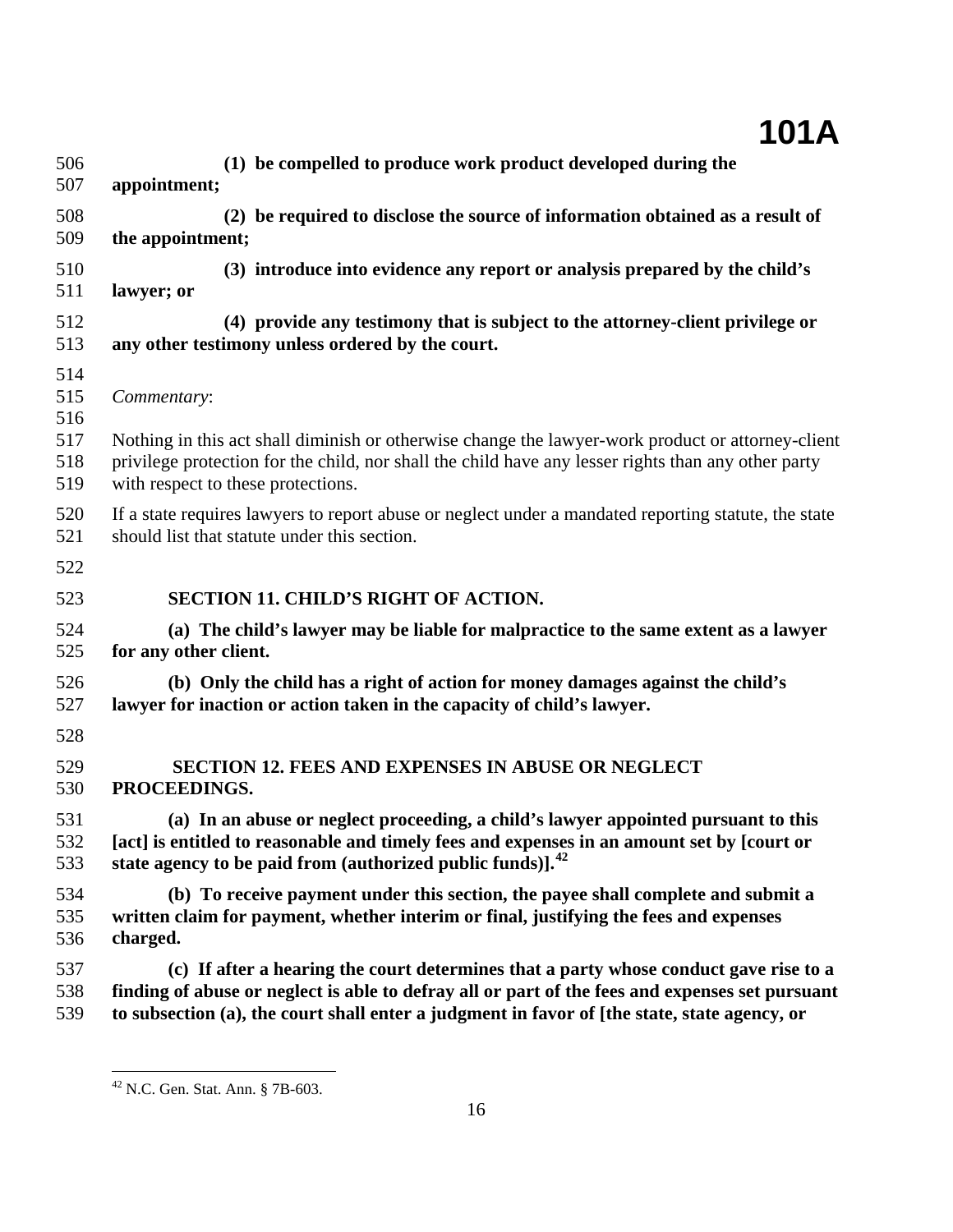| 506                                    | (1) be compelled to produce work product developed during the                                                                                                                                                                                                 |
|----------------------------------------|---------------------------------------------------------------------------------------------------------------------------------------------------------------------------------------------------------------------------------------------------------------|
| 507                                    | appointment;                                                                                                                                                                                                                                                  |
| 508                                    | (2) be required to disclose the source of information obtained as a result of                                                                                                                                                                                 |
| 509                                    | the appointment;                                                                                                                                                                                                                                              |
| 510                                    | (3) introduce into evidence any report or analysis prepared by the child's                                                                                                                                                                                    |
| 511                                    | lawyer; or                                                                                                                                                                                                                                                    |
| 512                                    | (4) provide any testimony that is subject to the attorney-client privilege or                                                                                                                                                                                 |
| 513                                    | any other testimony unless ordered by the court.                                                                                                                                                                                                              |
| 514<br>515<br>516<br>517<br>518<br>519 | Commentary:<br>Nothing in this act shall diminish or otherwise change the lawyer-work product or attorney-client<br>privilege protection for the child, nor shall the child have any lesser rights than any other party<br>with respect to these protections. |
| 520                                    | If a state requires lawyers to report abuse or neglect under a mandated reporting statute, the state                                                                                                                                                          |
| 521                                    | should list that statute under this section.                                                                                                                                                                                                                  |
| 522                                    |                                                                                                                                                                                                                                                               |
| 523                                    | <b>SECTION 11. CHILD'S RIGHT OF ACTION.</b>                                                                                                                                                                                                                   |
| 524                                    | (a) The child's lawyer may be liable for malpractice to the same extent as a lawyer                                                                                                                                                                           |
| 525                                    | for any other client.                                                                                                                                                                                                                                         |
| 526<br>527<br>528                      | (b) Only the child has a right of action for money damages against the child's<br>lawyer for inaction or action taken in the capacity of child's lawyer.                                                                                                      |
| 529                                    | <b>SECTION 12. FEES AND EXPENSES IN ABUSE OR NEGLECT</b>                                                                                                                                                                                                      |
| 530                                    | PROCEEDINGS.                                                                                                                                                                                                                                                  |
| 531                                    | (a) In an abuse or neglect proceeding, a child's lawyer appointed pursuant to this                                                                                                                                                                            |
| 532                                    | [act] is entitled to reasonable and timely fees and expenses in an amount set by [court or                                                                                                                                                                    |
| 533                                    | state agency to be paid from (authorized public funds)]. <sup>42</sup>                                                                                                                                                                                        |
| 534                                    | (b) To receive payment under this section, the payee shall complete and submit a                                                                                                                                                                              |
| 535                                    | written claim for payment, whether interim or final, justifying the fees and expenses                                                                                                                                                                         |
| 536                                    | charged.                                                                                                                                                                                                                                                      |
| 537                                    | (c) If after a hearing the court determines that a party whose conduct gave rise to a                                                                                                                                                                         |
| 538                                    | finding of abuse or neglect is able to defray all or part of the fees and expenses set pursuant                                                                                                                                                               |
| 539                                    | to subsection (a), the court shall enter a judgment in favor of [the state, state agency, or                                                                                                                                                                  |

<span id="page-15-0"></span> $42$  N.C. Gen. Stat. Ann. § 7B-603.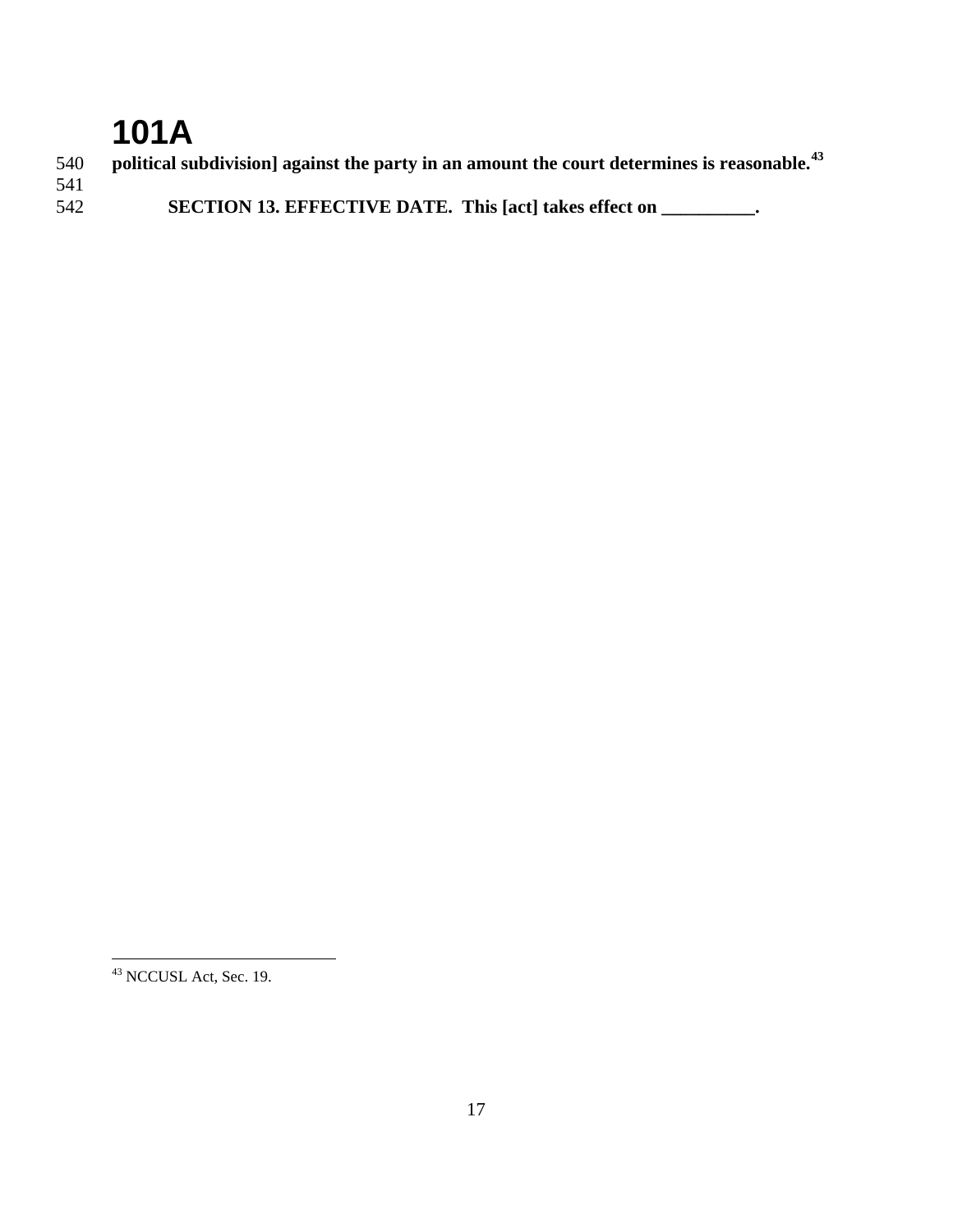**political subdivision] against the party in an amount the court determines is reasonable.[43](#page-16-0) SECTION 13. EFFECTIVE DATE. This [act] takes effect on \_\_\_\_\_\_\_\_\_\_.** 

<span id="page-16-0"></span>NCCUSL Act, Sec. 19.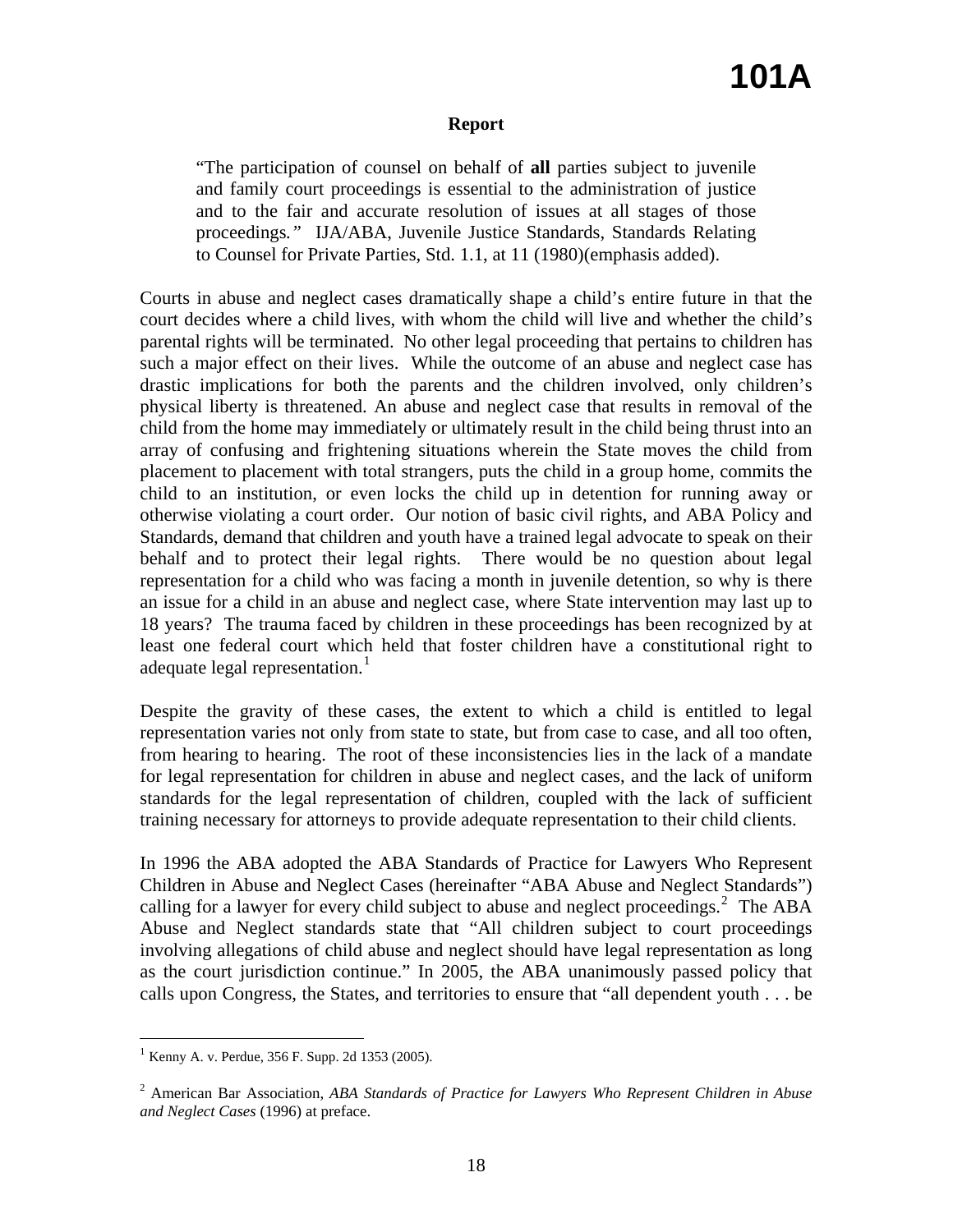### **Report**

"The participation of counsel on behalf of **all** parties subject to juvenile and family court proceedings is essential to the administration of justice and to the fair and accurate resolution of issues at all stages of those proceedings*."* IJA/ABA, Juvenile Justice Standards, Standards Relating to Counsel for Private Parties, Std. 1.1, at 11 (1980)(emphasis added).

Courts in abuse and neglect cases dramatically shape a child's entire future in that the court decides where a child lives, with whom the child will live and whether the child's parental rights will be terminated. No other legal proceeding that pertains to children has such a major effect on their lives. While the outcome of an abuse and neglect case has drastic implications for both the parents and the children involved, only children's physical liberty is threatened. An abuse and neglect case that results in removal of the child from the home may immediately or ultimately result in the child being thrust into an array of confusing and frightening situations wherein the State moves the child from placement to placement with total strangers, puts the child in a group home, commits the child to an institution, or even locks the child up in detention for running away or otherwise violating a court order. Our notion of basic civil rights, and ABA Policy and Standards, demand that children and youth have a trained legal advocate to speak on their behalf and to protect their legal rights. There would be no question about legal representation for a child who was facing a month in juvenile detention, so why is there an issue for a child in an abuse and neglect case, where State intervention may last up to 18 years? The trauma faced by children in these proceedings has been recognized by at least one federal court which held that foster children have a constitutional right to adequate legal representation. $<sup>1</sup>$  $<sup>1</sup>$  $<sup>1</sup>$ </sup>

Despite the gravity of these cases, the extent to which a child is entitled to legal representation varies not only from state to state, but from case to case, and all too often, from hearing to hearing. The root of these inconsistencies lies in the lack of a mandate for legal representation for children in abuse and neglect cases, and the lack of uniform standards for the legal representation of children, coupled with the lack of sufficient training necessary for attorneys to provide adequate representation to their child clients.

In 1996 the ABA adopted the ABA Standards of Practice for Lawyers Who Represent Children in Abuse and Neglect Cases (hereinafter "ABA Abuse and Neglect Standards") calling for a lawyer for every child subject to abuse and neglect proceedings.<sup>[2](#page-17-1)</sup> The ABA Abuse and Neglect standards state that "All children subject to court proceedings involving allegations of child abuse and neglect should have legal representation as long as the court jurisdiction continue." In 2005, the ABA unanimously passed policy that calls upon Congress, the States, and territories to ensure that "all dependent youth . . . be

 $\overline{a}$ 

<span id="page-17-0"></span> $1$  Kenny A. v. Perdue, 356 F. Supp. 2d 1353 (2005).

<span id="page-17-1"></span><sup>2</sup> American Bar Association, *ABA Standards of Practice for Lawyers Who Represent Children in Abuse and Neglect Cases* (1996) at preface.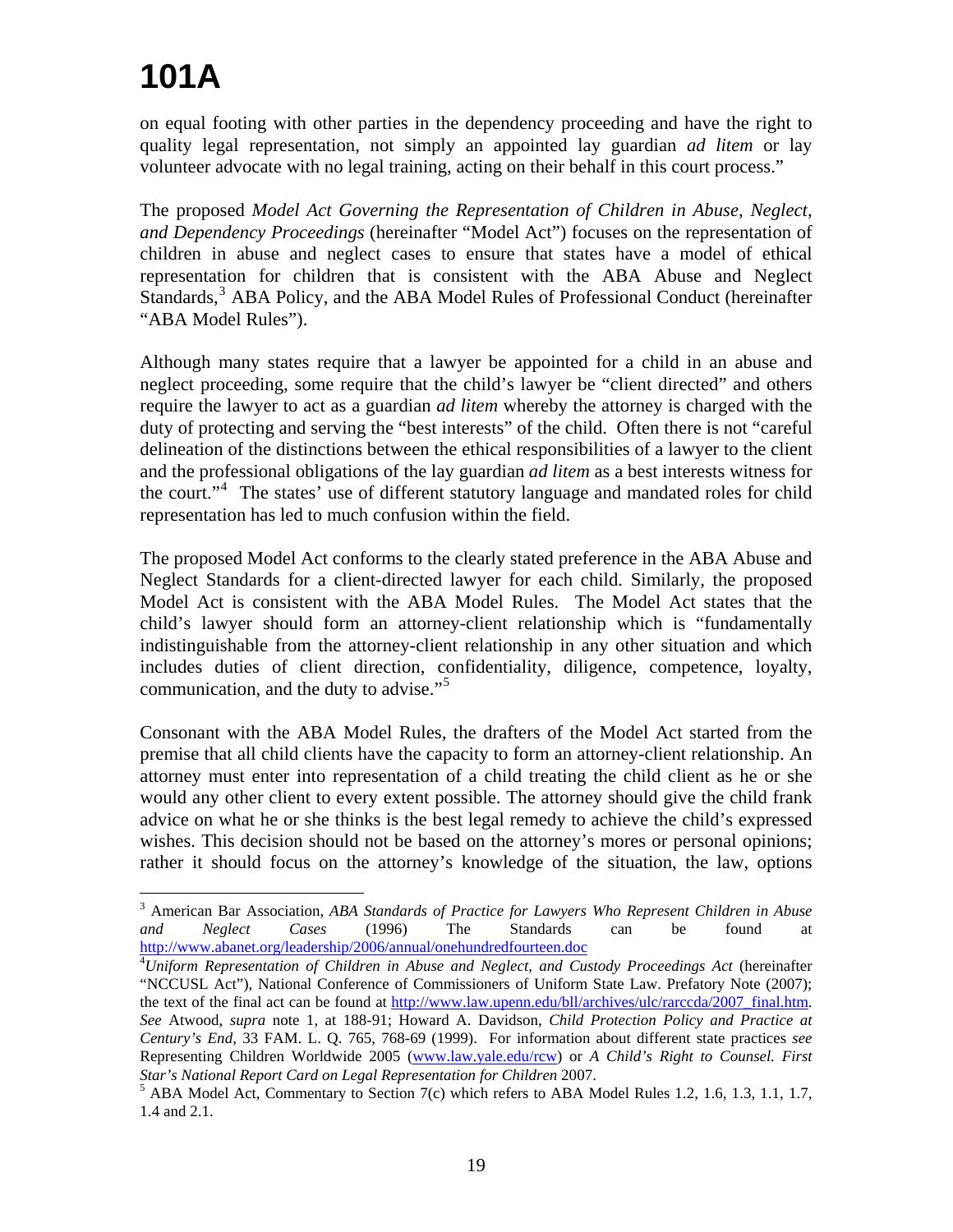$\overline{a}$ 

on equal footing with other parties in the dependency proceeding and have the right to quality legal representation, not simply an appointed lay guardian *ad litem* or lay volunteer advocate with no legal training, acting on their behalf in this court process."

The proposed *Model Act Governing the Representation of Children in Abuse, Neglect, and Dependency Proceedings* (hereinafter "Model Act") focuses on the representation of children in abuse and neglect cases to ensure that states have a model of ethical representation for children that is consistent with the ABA Abuse and Neglect Standards,<sup>[3](#page-18-0)</sup> ABA Policy, and the ABA Model Rules of Professional Conduct (hereinafter "ABA Model Rules").

Although many states require that a lawyer be appointed for a child in an abuse and neglect proceeding, some require that the child's lawyer be "client directed" and others require the lawyer to act as a guardian *ad litem* whereby the attorney is charged with the duty of protecting and serving the "best interests" of the child. Often there is not "careful delineation of the distinctions between the ethical responsibilities of a lawyer to the client and the professional obligations of the lay guardian *ad litem* as a best interests witness for the court."<sup>[4](#page-18-1)</sup> The states' use of different statutory language and mandated roles for child representation has led to much confusion within the field.

The proposed Model Act conforms to the clearly stated preference in the ABA Abuse and Neglect Standards for a client-directed lawyer for each child. Similarly, the proposed Model Act is consistent with the ABA Model Rules. The Model Act states that the child's lawyer should form an attorney-client relationship which is "fundamentally indistinguishable from the attorney-client relationship in any other situation and which includes duties of client direction, confidentiality, diligence, competence, loyalty, communication, and the duty to advise."<sup>[5](#page-18-2)</sup>

Consonant with the ABA Model Rules, the drafters of the Model Act started from the premise that all child clients have the capacity to form an attorney-client relationship. An attorney must enter into representation of a child treating the child client as he or she would any other client to every extent possible. The attorney should give the child frank advice on what he or she thinks is the best legal remedy to achieve the child's expressed wishes. This decision should not be based on the attorney's mores or personal opinions; rather it should focus on the attorney's knowledge of the situation, the law, options

<span id="page-18-0"></span><sup>3</sup> American Bar Association, *ABA Standards of Practice for Lawyers Who Represent Children in Abuse and Neglect Cases* (1996) The Standards can be found at [http://www.abanet.org/leadership/2006/annual/onehundredfourteen.doc 4](http://www.abanet.org/leadership/2006/annual/onehundredfourteen.doc)

<span id="page-18-1"></span>*Uniform Representation of Children in Abuse and Neglect, and Custody Proceedings Act* (hereinafter "NCCUSL Act"), National Conference of Commissioners of Uniform State Law. Prefatory Note (2007); the text of the final act can be found at [http://www.law.upenn.edu/bll/archives/ulc/rarccda/2007\\_final.htm.](http://www.law.upenn.edu/bll/archives/ulc/rarccda/2007_final.htm) *See* Atwood, *supra* note 1, at 188-91; Howard A. Davidson, *Child Protection Policy and Practice at Century's End*, 33 FAM. L. Q. 765, 768-69 (1999). For information about different state practices *see* Representing Children Worldwide 2005 [\(www.law.yale.edu/rcw](http://www.law.yale.edu/rcw)) or *A Child's Right to Counsel. First Star's National Report Card on Legal Representation for Children* 2007. 5

<span id="page-18-2"></span> $5$  ABA Model Act, Commentary to Section 7(c) which refers to ABA Model Rules 1.2, 1.6, 1.3, 1.1, 1.7, 1.4 and 2.1.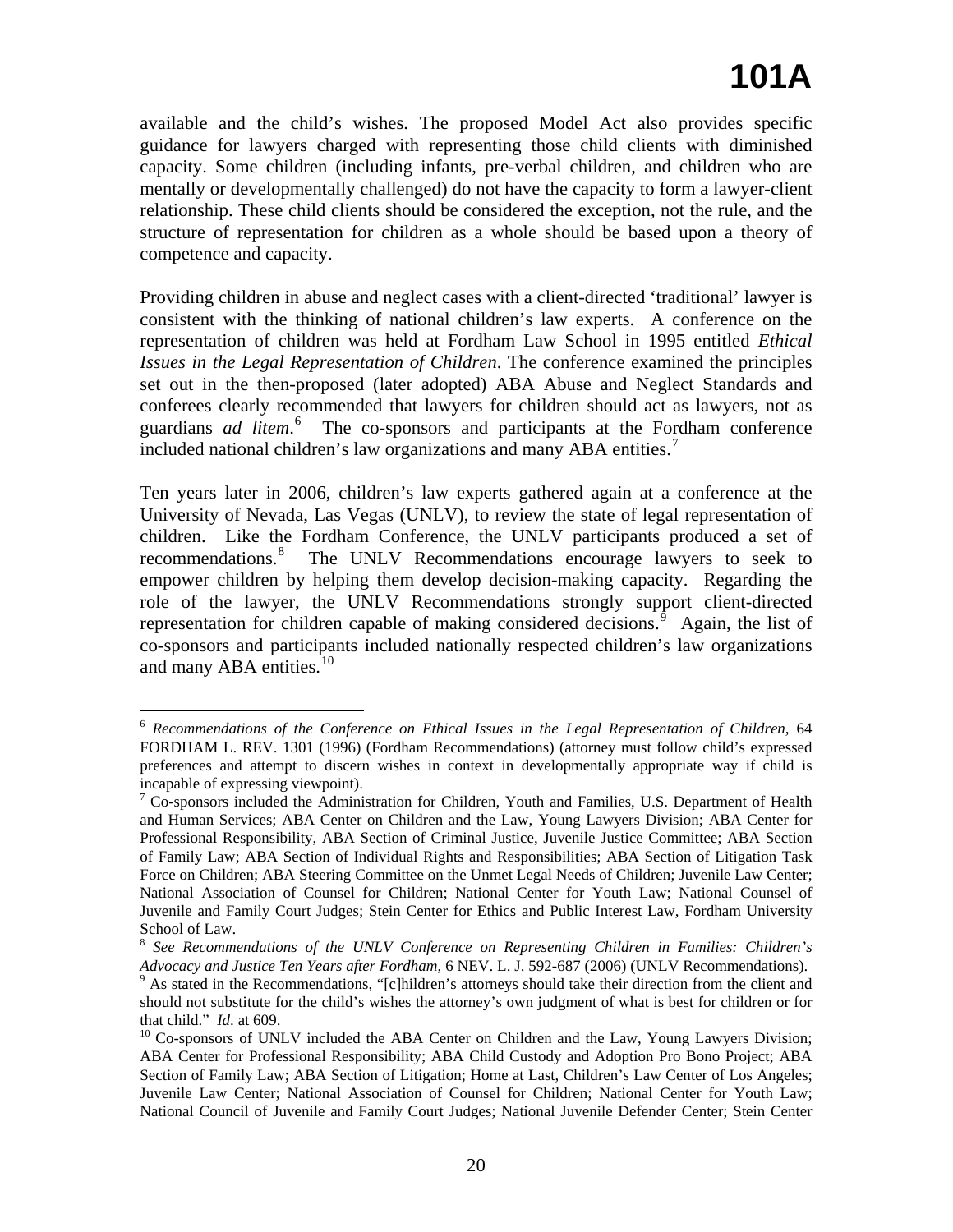available and the child's wishes. The proposed Model Act also provides specific guidance for lawyers charged with representing those child clients with diminished capacity. Some children (including infants, pre-verbal children, and children who are mentally or developmentally challenged) do not have the capacity to form a lawyer-client relationship. These child clients should be considered the exception, not the rule, and the structure of representation for children as a whole should be based upon a theory of competence and capacity.

Providing children in abuse and neglect cases with a client-directed 'traditional' lawyer is consistent with the thinking of national children's law experts. A conference on the representation of children was held at Fordham Law School in 1995 entitled *Ethical Issues in the Legal Representation of Children*. The conference examined the principles set out in the then-proposed (later adopted) ABA Abuse and Neglect Standards and conferees clearly recommended that lawyers for children should act as lawyers, not as guardians *ad litem*. [6](#page-19-0) The co-sponsors and participants at the Fordham conference included national children's law organizations and many ABA entities.<sup>[7](#page-19-1)</sup>

Ten years later in 2006, children's law experts gathered again at a conference at the University of Nevada, Las Vegas (UNLV), to review the state of legal representation of children. Like the Fordham Conference, the UNLV participants produced a set of recommendations.<sup>[8](#page-19-2)</sup> The UNLV Recommendations encourage lawyers to seek to empower children by helping them develop decision-making capacity. Regarding the role of the lawyer, the UNLV Recommendations strongly support client-directed representation for children capable of making considered decisions.<sup> $\hat{9}$  $\hat{9}$  $\hat{9}$ </sup> Again, the list of co-sponsors and participants included nationally respected children's law organizations and many ABA entities. $10$ 

<span id="page-19-0"></span> $\overline{a}$ <sup>6</sup> *Recommendations of the Conference on Ethical Issues in the Legal Representation of Children*, 64 FORDHAM L. REV. 1301 (1996) (Fordham Recommendations) (attorney must follow child's expressed preferences and attempt to discern wishes in context in developmentally appropriate way if child is incapable of expressing viewpoint).

<span id="page-19-1"></span><sup>&</sup>lt;sup>7</sup> Co-sponsors included the Administration for Children, Youth and Families, U.S. Department of Health and Human Services; ABA Center on Children and the Law, Young Lawyers Division; ABA Center for Professional Responsibility, ABA Section of Criminal Justice, Juvenile Justice Committee; ABA Section of Family Law; ABA Section of Individual Rights and Responsibilities; ABA Section of Litigation Task Force on Children; ABA Steering Committee on the Unmet Legal Needs of Children; Juvenile Law Center; National Association of Counsel for Children; National Center for Youth Law; National Counsel of Juvenile and Family Court Judges; Stein Center for Ethics and Public Interest Law, Fordham University School of Law.

<span id="page-19-2"></span><sup>8</sup> *See Recommendations of the UNLV Conference on Representing Children in Families: Children's Advocacy and Justice Ten Years after Fordham*, 6 NEV. L. J. 592-687 (2006) (UNLV Recommendations). 9

<span id="page-19-3"></span> $9$  As stated in the Recommendations, "[c]hildren's attorneys should take their direction from the client and should not substitute for the child's wishes the attorney's own judgment of what is best for children or for that child." *Id.* at 609.<br><sup>10</sup> Co-sponsors of UNLV included the ABA Center on Children and the Law, Young Lawyers Division;

<span id="page-19-4"></span>ABA Center for Professional Responsibility; ABA Child Custody and Adoption Pro Bono Project; ABA Section of Family Law; ABA Section of Litigation; Home at Last, Children's Law Center of Los Angeles; Juvenile Law Center; National Association of Counsel for Children; National Center for Youth Law; National Council of Juvenile and Family Court Judges; National Juvenile Defender Center; Stein Center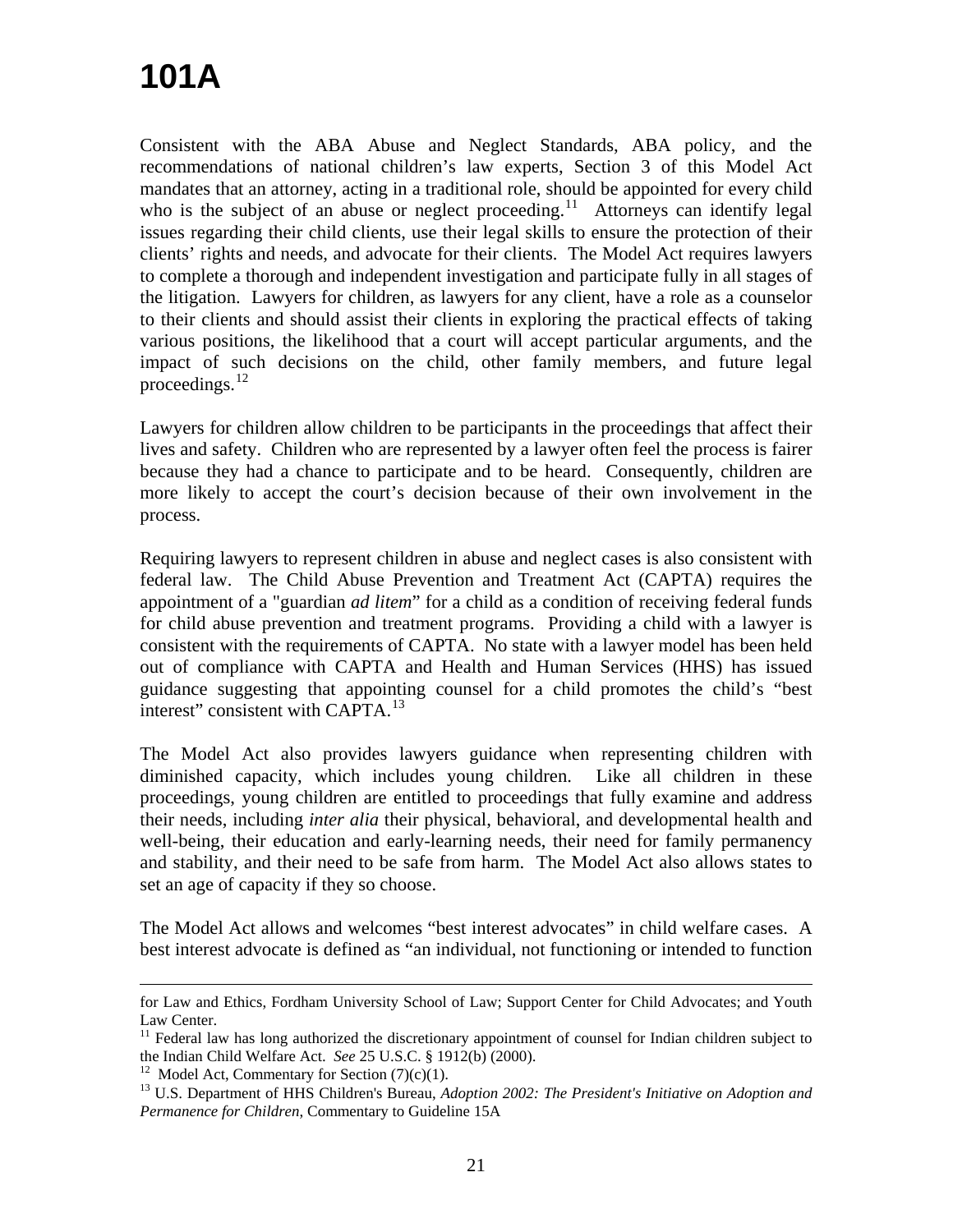Consistent with the ABA Abuse and Neglect Standards, ABA policy, and the recommendations of national children's law experts, Section 3 of this Model Act mandates that an attorney, acting in a traditional role, should be appointed for every child who is the subject of an abuse or neglect proceeding.<sup>[11](#page-20-0)</sup> Attorneys can identify legal issues regarding their child clients, use their legal skills to ensure the protection of their clients' rights and needs, and advocate for their clients. The Model Act requires lawyers to complete a thorough and independent investigation and participate fully in all stages of the litigation. Lawyers for children, as lawyers for any client, have a role as a counselor to their clients and should assist their clients in exploring the practical effects of taking various positions, the likelihood that a court will accept particular arguments, and the impact of such decisions on the child, other family members, and future legal proceedings. $^{12}$  $^{12}$  $^{12}$ 

Lawyers for children allow children to be participants in the proceedings that affect their lives and safety. Children who are represented by a lawyer often feel the process is fairer because they had a chance to participate and to be heard. Consequently, children are more likely to accept the court's decision because of their own involvement in the process.

Requiring lawyers to represent children in abuse and neglect cases is also consistent with federal law. The Child Abuse Prevention and Treatment Act (CAPTA) requires the appointment of a "guardian *ad litem*" for a child as a condition of receiving federal funds for child abuse prevention and treatment programs. Providing a child with a lawyer is consistent with the requirements of CAPTA. No state with a lawyer model has been held out of compliance with CAPTA and Health and Human Services (HHS) has issued guidance suggesting that appointing counsel for a child promotes the child's "best interest" consistent with CAPTA. $^{13}$  $^{13}$  $^{13}$ 

The Model Act also provides lawyers guidance when representing children with diminished capacity, which includes young children. Like all children in these proceedings, young children are entitled to proceedings that fully examine and address their needs, including *inter alia* their physical, behavioral, and developmental health and well-being, their education and early-learning needs, their need for family permanency and stability, and their need to be safe from harm. The Model Act also allows states to set an age of capacity if they so choose.

The Model Act allows and welcomes "best interest advocates" in child welfare cases. A best interest advocate is defined as "an individual, not functioning or intended to function

 $\overline{a}$ 

for Law and Ethics, Fordham University School of Law; Support Center for Child Advocates; and Youth Law Center.

<span id="page-20-0"></span><sup>&</sup>lt;sup>11</sup> Federal law has long authorized the discretionary appointment of counsel for Indian children subject to the Indian Child Welfare Act. *See* 25 U.S.C. § 1912(b) (2000).<br><sup>12</sup> Model Act, Commentary for Section (7)(c)(1).

<span id="page-20-2"></span><span id="page-20-1"></span><sup>&</sup>lt;sup>13</sup> U.S. Department of HHS Children's Bureau, *Adoption 2002: The President's Initiative on Adoption and Permanence for Children*, Commentary to Guideline 15A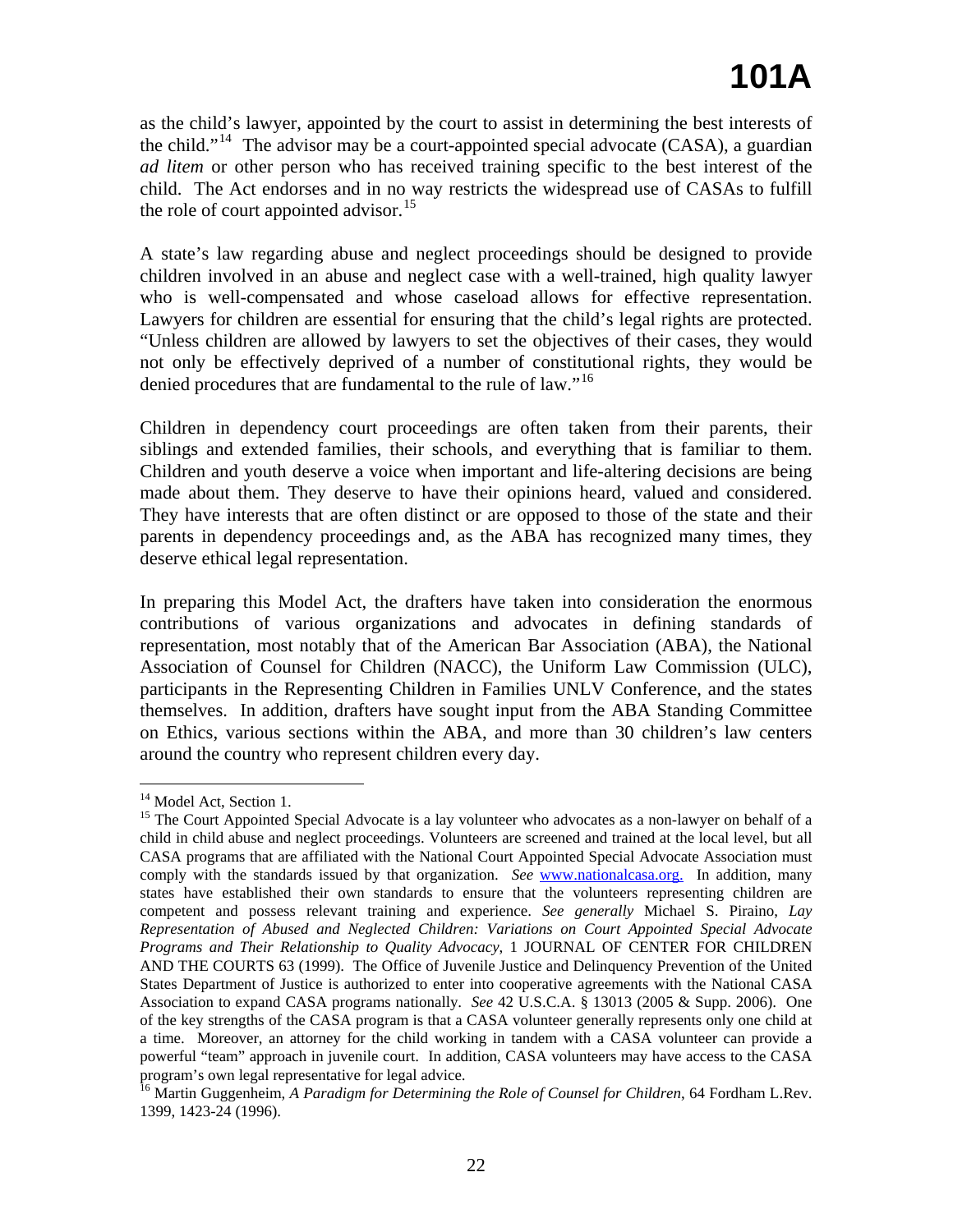as the child's lawyer, appointed by the court to assist in determining the best interests of the child."[14](#page-21-0) The advisor may be a court-appointed special advocate (CASA), a guardian *ad litem* or other person who has received training specific to the best interest of the child. The Act endorses and in no way restricts the widespread use of CASAs to fulfill the role of court appointed advisor.<sup>[15](#page-21-1)</sup>

A state's law regarding abuse and neglect proceedings should be designed to provide children involved in an abuse and neglect case with a well-trained, high quality lawyer who is well-compensated and whose caseload allows for effective representation. Lawyers for children are essential for ensuring that the child's legal rights are protected. "Unless children are allowed by lawyers to set the objectives of their cases, they would not only be effectively deprived of a number of constitutional rights, they would be denied procedures that are fundamental to the rule of law."<sup>[16](#page-21-2)</sup>

Children in dependency court proceedings are often taken from their parents, their siblings and extended families, their schools, and everything that is familiar to them. Children and youth deserve a voice when important and life-altering decisions are being made about them. They deserve to have their opinions heard, valued and considered. They have interests that are often distinct or are opposed to those of the state and their parents in dependency proceedings and, as the ABA has recognized many times, they deserve ethical legal representation.

In preparing this Model Act, the drafters have taken into consideration the enormous contributions of various organizations and advocates in defining standards of representation, most notably that of the American Bar Association (ABA), the National Association of Counsel for Children (NACC), the Uniform Law Commission (ULC), participants in the Representing Children in Families UNLV Conference, and the states themselves. In addition, drafters have sought input from the ABA Standing Committee on Ethics, various sections within the ABA, and more than 30 children's law centers around the country who represent children every day.

<sup>&</sup>lt;sup>14</sup> Model Act, Section 1.

<span id="page-21-1"></span><span id="page-21-0"></span><sup>&</sup>lt;sup>15</sup> The Court Appointed Special Advocate is a lay volunteer who advocates as a non-lawyer on behalf of a child in child abuse and neglect proceedings. Volunteers are screened and trained at the local level, but all CASA programs that are affiliated with the National Court Appointed Special Advocate Association must comply with the standards issued by that organization. *See* www.nationalcasa.org. In addition, many states have established their own standards to ensure that the volunteers representing children are competent and possess relevant training and experience. *See generally* Michael S. Piraino, *Lay Representation of Abused and Neglected Children: Variations on Court Appointed Special Advocate Programs and Their Relationship to Quality Advocacy*, 1 JOURNAL OF CENTER FOR CHILDREN AND THE COURTS 63 (1999). The Office of Juvenile Justice and Delinquency Prevention of the United States Department of Justice is authorized to enter into cooperative agreements with the National CASA Association to expand CASA programs nationally. *See* 42 U.S.C.A. § 13013 (2005 & Supp. 2006). One of the key strengths of the CASA program is that a CASA volunteer generally represents only one child at a time. Moreover, an attorney for the child working in tandem with a CASA volunteer can provide a powerful "team" approach in juvenile court. In addition, CASA volunteers may have access to the CASA program's own legal representative for legal advice.

<span id="page-21-2"></span><sup>16</sup> Martin Guggenheim, *A Paradigm for Determining the Role of Counsel for Children*, 64 Fordham L.Rev. 1399, 1423-24 (1996).